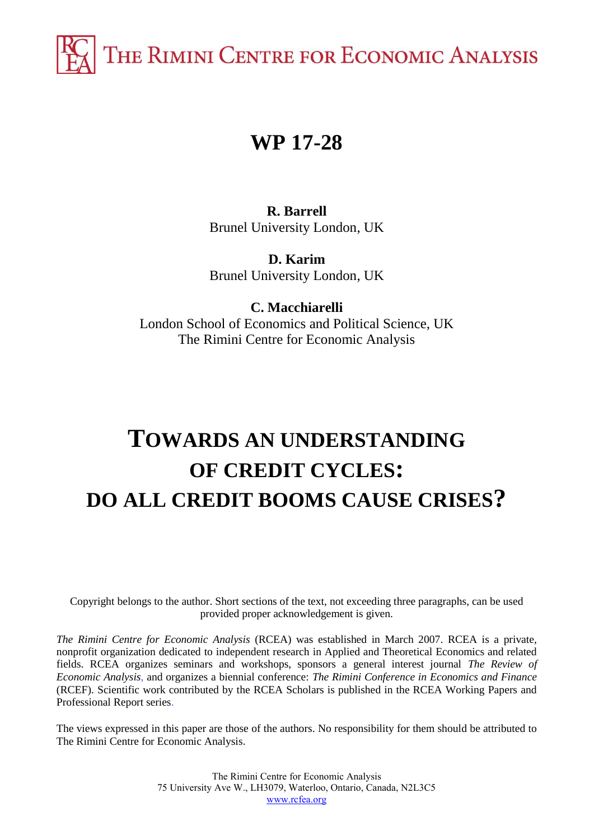THE RIMINI CENTRE FOR ECONOMIC ANALYSIS

## **WP 17-28**

**R. Barrell** Brunel University London, UK

**D. Karim** Brunel University London, UK

**C. Macchiarelli** London School of Economics and Political Science, UK The Rimini Centre for Economic Analysis

# **TOWARDS AN UNDERSTANDING OF CREDIT CYCLES: DO ALL CREDIT BOOMS CAUSE CRISES?**

Copyright belongs to the author. Short sections of the text, not exceeding three paragraphs, can be used provided proper acknowledgement is given.

*The Rimini Centre for Economic Analysis* (RCEA) was established in March 2007. RCEA is a private, nonprofit organization dedicated to independent research in Applied and Theoretical Economics and related fields. RCEA organizes seminars and workshops, sponsors a general interest journal *The Review of Economic Analysis*, and organizes a biennial conference: *The Rimini Conference in Economics and Finance*  (RCEF). Scientific work contributed by the RCEA Scholars is published in the RCEA Working Papers and Professional Report series.

The views expressed in this paper are those of the authors. No responsibility for them should be attributed to The Rimini Centre for Economic Analysis.

> The Rimini Centre for Economic Analysis 75 University Ave W., LH3079, Waterloo, Ontario, Canada, N2L3C5 [www.rcfea.org](http://www.rcfea.org/)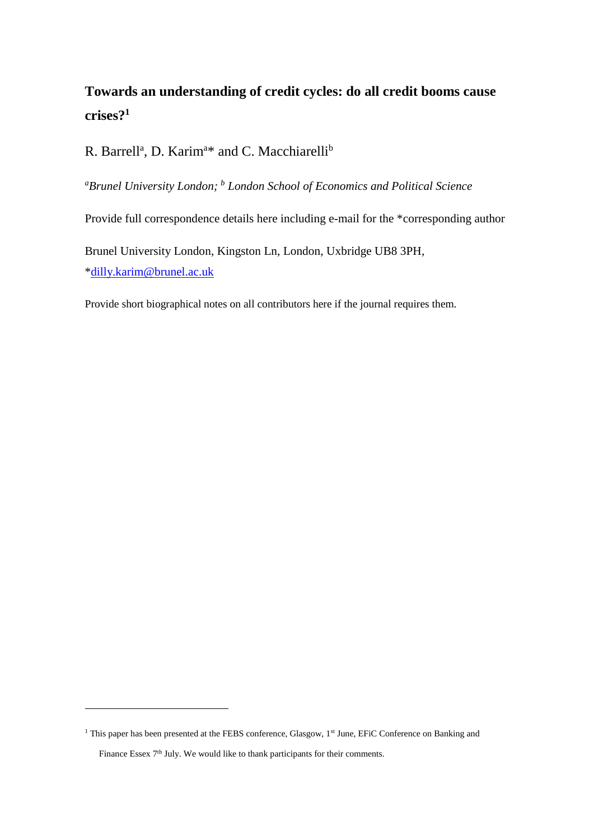## **Towards an understanding of credit cycles: do all credit booms cause crises?<sup>1</sup>**

R. Barrell<sup>a</sup>, D. Karim<sup>a\*</sup> and C. Macchiarelli<sup>b</sup>

*<sup>a</sup>Brunel University London; <sup>b</sup> London School of Economics and Political Science*

Provide full correspondence details here including e-mail for the \*corresponding author

Brunel University London, Kingston Ln, London, Uxbridge UB8 3PH, [\\*dilly.karim@brunel.ac.uk](mailto:corrado.macchiarelli@brunel.ac.uk)

Provide short biographical notes on all contributors here if the journal requires them.

<sup>&</sup>lt;sup>1</sup> This paper has been presented at the FEBS conference, Glasgow, 1<sup>st</sup> June, EFiC Conference on Banking and Finance Essex 7<sup>th</sup> July. We would like to thank participants for their comments.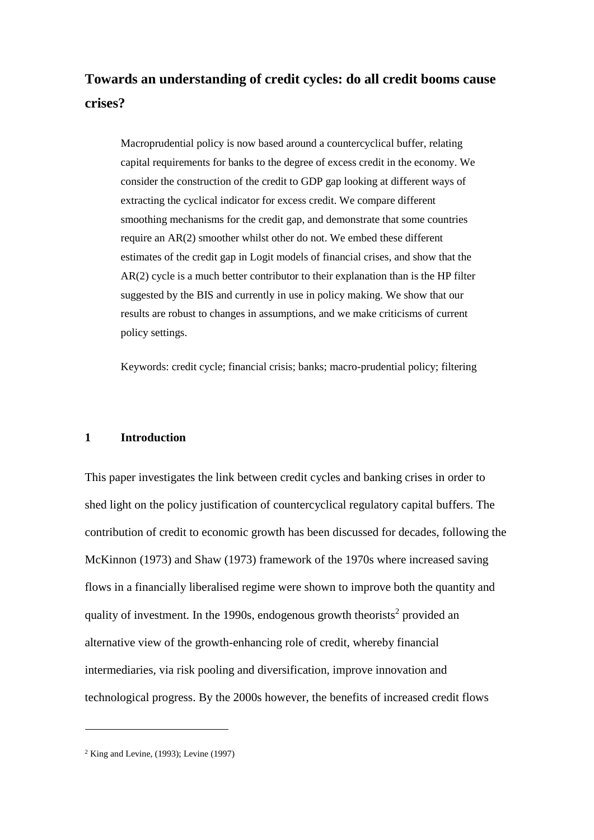## **Towards an understanding of credit cycles: do all credit booms cause crises?**

Macroprudential policy is now based around a countercyclical buffer, relating capital requirements for banks to the degree of excess credit in the economy. We consider the construction of the credit to GDP gap looking at different ways of extracting the cyclical indicator for excess credit. We compare different smoothing mechanisms for the credit gap, and demonstrate that some countries require an AR(2) smoother whilst other do not. We embed these different estimates of the credit gap in Logit models of financial crises, and show that the AR(2) cycle is a much better contributor to their explanation than is the HP filter suggested by the BIS and currently in use in policy making. We show that our results are robust to changes in assumptions, and we make criticisms of current policy settings.

Keywords: credit cycle; financial crisis; banks; macro-prudential policy; filtering

#### **1 Introduction**

This paper investigates the link between credit cycles and banking crises in order to shed light on the policy justification of countercyclical regulatory capital buffers. The contribution of credit to economic growth has been discussed for decades, following the McKinnon (1973) and Shaw (1973) framework of the 1970s where increased saving flows in a financially liberalised regime were shown to improve both the quantity and quality of investment. In the 1990s, endogenous growth theorists<sup>2</sup> provided an alternative view of the growth-enhancing role of credit, whereby financial intermediaries, via risk pooling and diversification, improve innovation and technological progress. By the 2000s however, the benefits of increased credit flows

 $2$  King and Levine, (1993); Levine (1997)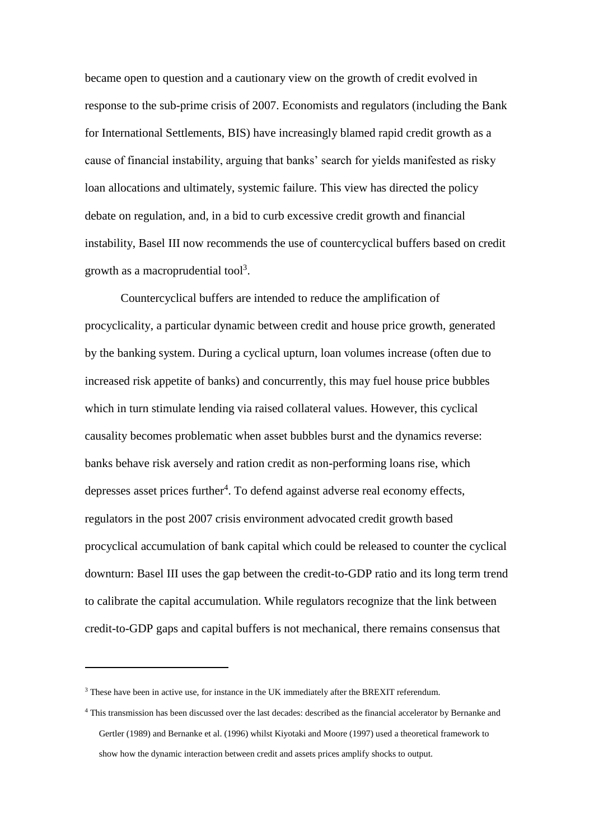became open to question and a cautionary view on the growth of credit evolved in response to the sub-prime crisis of 2007. Economists and regulators (including the Bank for International Settlements, BIS) have increasingly blamed rapid credit growth as a cause of financial instability, arguing that banks' search for yields manifested as risky loan allocations and ultimately, systemic failure. This view has directed the policy debate on regulation, and, in a bid to curb excessive credit growth and financial instability, Basel III now recommends the use of countercyclical buffers based on credit growth as a macroprudential tool<sup>3</sup>.

Countercyclical buffers are intended to reduce the amplification of procyclicality, a particular dynamic between credit and house price growth, generated by the banking system. During a cyclical upturn, loan volumes increase (often due to increased risk appetite of banks) and concurrently, this may fuel house price bubbles which in turn stimulate lending via raised collateral values. However, this cyclical causality becomes problematic when asset bubbles burst and the dynamics reverse: banks behave risk aversely and ration credit as non-performing loans rise, which depresses asset prices further<sup>4</sup>. To defend against adverse real economy effects, regulators in the post 2007 crisis environment advocated credit growth based procyclical accumulation of bank capital which could be released to counter the cyclical downturn: Basel III uses the gap between the credit-to-GDP ratio and its long term trend to calibrate the capital accumulation. While regulators recognize that the link between credit-to-GDP gaps and capital buffers is not mechanical, there remains consensus that

<sup>&</sup>lt;sup>3</sup> These have been in active use, for instance in the UK immediately after the BREXIT referendum.

<sup>4</sup> This transmission has been discussed over the last decades: described as the financial accelerator by Bernanke and Gertler (1989) and Bernanke et al. (1996) whilst Kiyotaki and Moore (1997) used a theoretical framework to show how the dynamic interaction between credit and assets prices amplify shocks to output.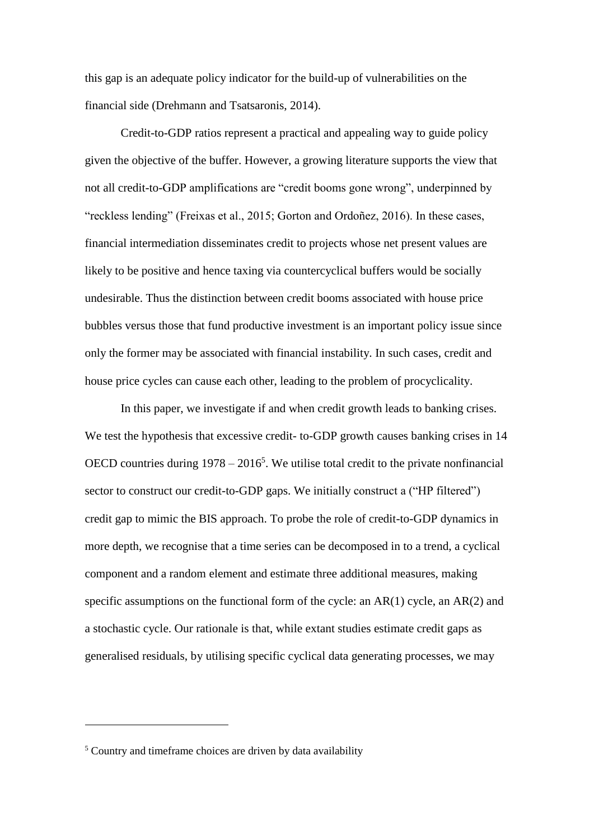this gap is an adequate policy indicator for the build-up of vulnerabilities on the financial side (Drehmann and Tsatsaronis, 2014).

Credit-to-GDP ratios represent a practical and appealing way to guide policy given the objective of the buffer. However, a growing literature supports the view that not all credit-to-GDP amplifications are "credit booms gone wrong", underpinned by "reckless lending" (Freixas et al., 2015; Gorton and Ordoñez, 2016). In these cases, financial intermediation disseminates credit to projects whose net present values are likely to be positive and hence taxing via countercyclical buffers would be socially undesirable. Thus the distinction between credit booms associated with house price bubbles versus those that fund productive investment is an important policy issue since only the former may be associated with financial instability. In such cases, credit and house price cycles can cause each other, leading to the problem of procyclicality.

In this paper, we investigate if and when credit growth leads to banking crises. We test the hypothesis that excessive credit- to-GDP growth causes banking crises in 14 OECD countries during  $1978 - 2016^5$ . We utilise total credit to the private nonfinancial sector to construct our credit-to-GDP gaps. We initially construct a ("HP filtered") credit gap to mimic the BIS approach. To probe the role of credit-to-GDP dynamics in more depth, we recognise that a time series can be decomposed in to a trend, a cyclical component and a random element and estimate three additional measures, making specific assumptions on the functional form of the cycle: an  $AR(1)$  cycle, an  $AR(2)$  and a stochastic cycle. Our rationale is that, while extant studies estimate credit gaps as generalised residuals, by utilising specific cyclical data generating processes, we may

<sup>5</sup> Country and timeframe choices are driven by data availability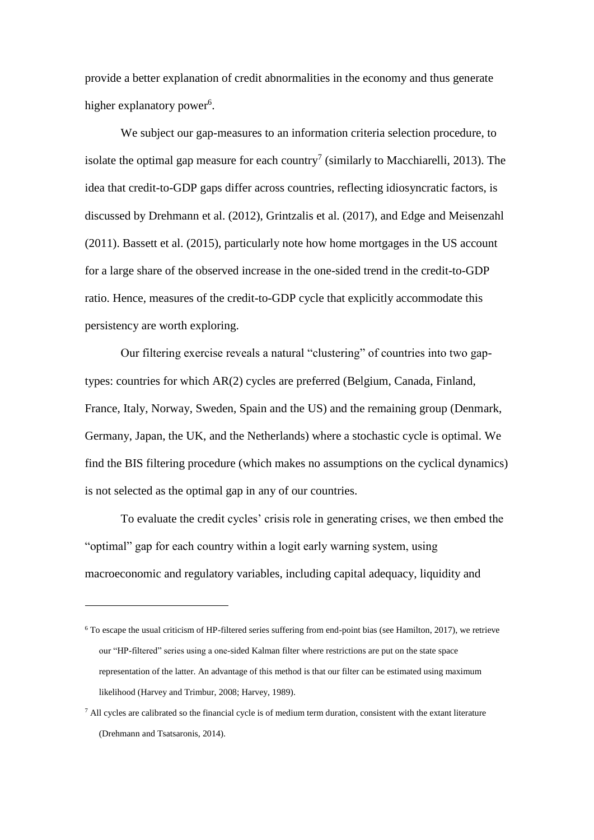provide a better explanation of credit abnormalities in the economy and thus generate higher explanatory power<sup>6</sup>.

We subject our gap-measures to an information criteria selection procedure, to isolate the optimal gap measure for each country<sup>7</sup> (similarly to Macchiarelli, 2013). The idea that credit-to-GDP gaps differ across countries, reflecting idiosyncratic factors, is discussed by Drehmann et al. (2012), Grintzalis et al. (2017), and Edge and Meisenzahl (2011). Bassett et al. (2015), particularly note how home mortgages in the US account for a large share of the observed increase in the one-sided trend in the credit-to-GDP ratio. Hence, measures of the credit-to-GDP cycle that explicitly accommodate this persistency are worth exploring.

Our filtering exercise reveals a natural "clustering" of countries into two gaptypes: countries for which AR(2) cycles are preferred (Belgium, Canada, Finland, France, Italy, Norway, Sweden, Spain and the US) and the remaining group (Denmark, Germany, Japan, the UK, and the Netherlands) where a stochastic cycle is optimal. We find the BIS filtering procedure (which makes no assumptions on the cyclical dynamics) is not selected as the optimal gap in any of our countries.

To evaluate the credit cycles' crisis role in generating crises, we then embed the "optimal" gap for each country within a logit early warning system, using macroeconomic and regulatory variables, including capital adequacy, liquidity and

 $6$  To escape the usual criticism of HP-filtered series suffering from end-point bias (see Hamilton, 2017), we retrieve our "HP-filtered" series using a one-sided Kalman filter where restrictions are put on the state space representation of the latter. An advantage of this method is that our filter can be estimated using maximum likelihood (Harvey and Trimbur, 2008; Harvey, 1989).

 $7$  All cycles are calibrated so the financial cycle is of medium term duration, consistent with the extant literature (Drehmann and Tsatsaronis, 2014).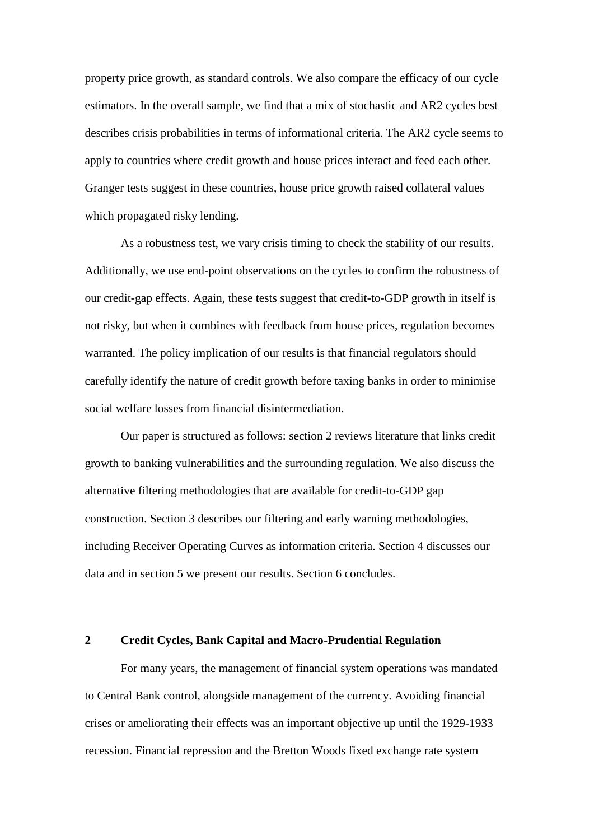property price growth, as standard controls. We also compare the efficacy of our cycle estimators. In the overall sample, we find that a mix of stochastic and AR2 cycles best describes crisis probabilities in terms of informational criteria. The AR2 cycle seems to apply to countries where credit growth and house prices interact and feed each other. Granger tests suggest in these countries, house price growth raised collateral values which propagated risky lending.

As a robustness test, we vary crisis timing to check the stability of our results. Additionally, we use end-point observations on the cycles to confirm the robustness of our credit-gap effects. Again, these tests suggest that credit-to-GDP growth in itself is not risky, but when it combines with feedback from house prices, regulation becomes warranted. The policy implication of our results is that financial regulators should carefully identify the nature of credit growth before taxing banks in order to minimise social welfare losses from financial disintermediation.

Our paper is structured as follows: section 2 reviews literature that links credit growth to banking vulnerabilities and the surrounding regulation. We also discuss the alternative filtering methodologies that are available for credit-to-GDP gap construction. Section 3 describes our filtering and early warning methodologies, including Receiver Operating Curves as information criteria. Section 4 discusses our data and in section 5 we present our results. Section 6 concludes.

#### **2 Credit Cycles, Bank Capital and Macro-Prudential Regulation**

For many years, the management of financial system operations was mandated to Central Bank control, alongside management of the currency. Avoiding financial crises or ameliorating their effects was an important objective up until the 1929-1933 recession. Financial repression and the Bretton Woods fixed exchange rate system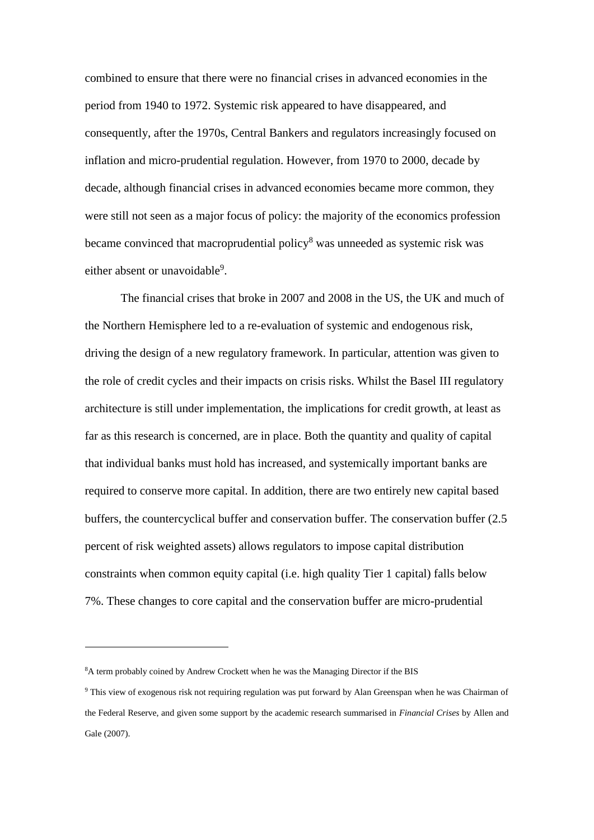combined to ensure that there were no financial crises in advanced economies in the period from 1940 to 1972. Systemic risk appeared to have disappeared, and consequently, after the 1970s, Central Bankers and regulators increasingly focused on inflation and micro-prudential regulation. However, from 1970 to 2000, decade by decade, although financial crises in advanced economies became more common, they were still not seen as a major focus of policy: the majority of the economics profession became convinced that macroprudential policy<sup>8</sup> was unneeded as systemic risk was either absent or unavoidable<sup>9</sup>.

The financial crises that broke in 2007 and 2008 in the US, the UK and much of the Northern Hemisphere led to a re-evaluation of systemic and endogenous risk, driving the design of a new regulatory framework. In particular, attention was given to the role of credit cycles and their impacts on crisis risks. Whilst the Basel III regulatory architecture is still under implementation, the implications for credit growth, at least as far as this research is concerned, are in place. Both the quantity and quality of capital that individual banks must hold has increased, and systemically important banks are required to conserve more capital. In addition, there are two entirely new capital based buffers, the countercyclical buffer and conservation buffer. The conservation buffer (2.5 percent of risk weighted assets) allows regulators to impose capital distribution constraints when common equity capital (i.e. high quality Tier 1 capital) falls below 7%. These changes to core capital and the conservation buffer are micro-prudential

<sup>8</sup>A term probably coined by Andrew Crockett when he was the Managing Director if the BIS

<sup>9</sup> This view of exogenous risk not requiring regulation was put forward by Alan Greenspan when he was Chairman of the Federal Reserve, and given some support by the academic research summarised in *Financial Crises* by Allen and Gale (2007).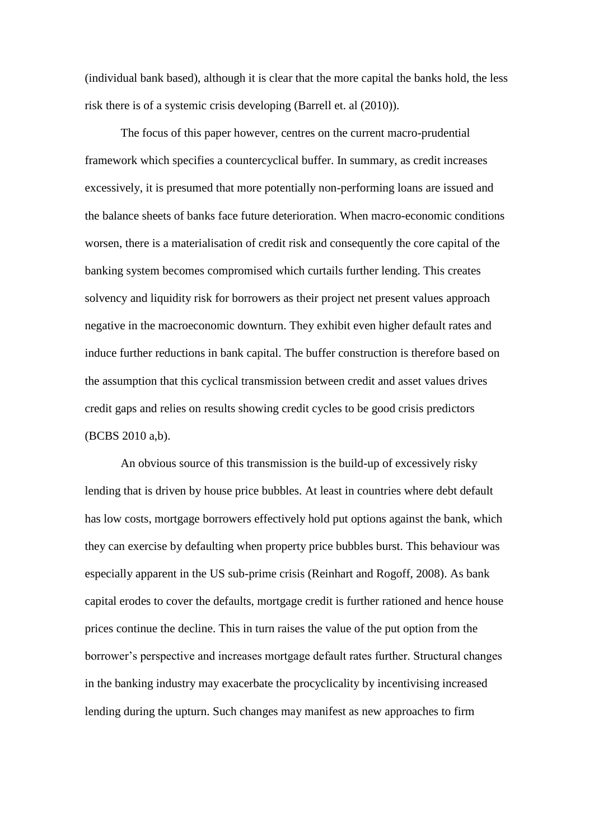(individual bank based), although it is clear that the more capital the banks hold, the less risk there is of a systemic crisis developing (Barrell et. al (2010)).

The focus of this paper however, centres on the current macro-prudential framework which specifies a countercyclical buffer. In summary, as credit increases excessively, it is presumed that more potentially non-performing loans are issued and the balance sheets of banks face future deterioration. When macro-economic conditions worsen, there is a materialisation of credit risk and consequently the core capital of the banking system becomes compromised which curtails further lending. This creates solvency and liquidity risk for borrowers as their project net present values approach negative in the macroeconomic downturn. They exhibit even higher default rates and induce further reductions in bank capital. The buffer construction is therefore based on the assumption that this cyclical transmission between credit and asset values drives credit gaps and relies on results showing credit cycles to be good crisis predictors (BCBS 2010 a,b).

An obvious source of this transmission is the build-up of excessively risky lending that is driven by house price bubbles. At least in countries where debt default has low costs, mortgage borrowers effectively hold put options against the bank, which they can exercise by defaulting when property price bubbles burst. This behaviour was especially apparent in the US sub-prime crisis (Reinhart and Rogoff, 2008). As bank capital erodes to cover the defaults, mortgage credit is further rationed and hence house prices continue the decline. This in turn raises the value of the put option from the borrower's perspective and increases mortgage default rates further. Structural changes in the banking industry may exacerbate the procyclicality by incentivising increased lending during the upturn. Such changes may manifest as new approaches to firm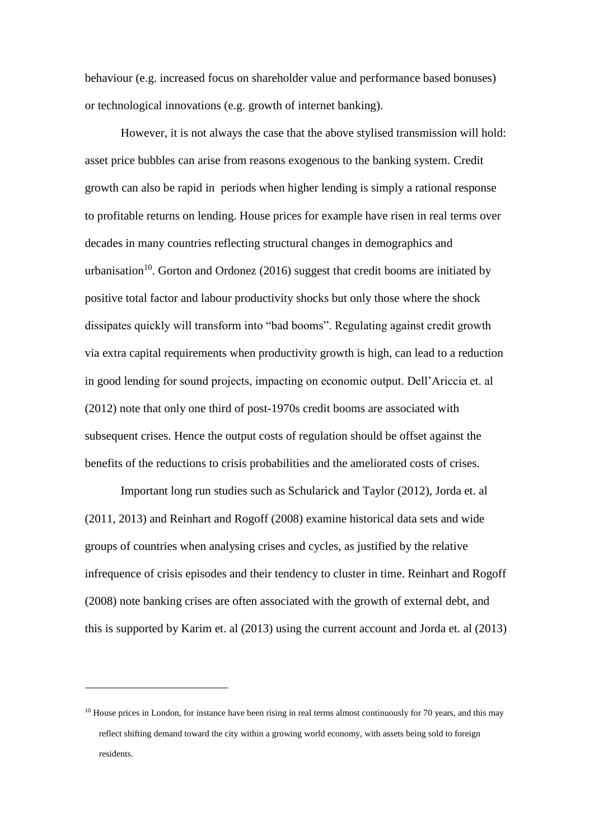behaviour (e.g. increased focus on shareholder value and performance based bonuses) or technological innovations (e.g. growth of internet banking).

However, it is not always the case that the above stylised transmission will hold: asset price bubbles can arise from reasons exogenous to the banking system. Credit growth can also be rapid in periods when higher lending is simply a rational response to profitable returns on lending. House prices for example have risen in real terms over decades in many countries reflecting structural changes in demographics and urbanisation<sup>10</sup>. Gorton and Ordonez (2016) suggest that credit booms are initiated by positive total factor and labour productivity shocks but only those where the shock dissipates quickly will transform into "bad booms". Regulating against credit growth via extra capital requirements when productivity growth is high, can lead to a reduction in good lending for sound projects, impacting on economic output. Dell'Ariccia et. al (2012) note that only one third of post-1970s credit booms are associated with subsequent crises. Hence the output costs of regulation should be offset against the benefits of the reductions to crisis probabilities and the ameliorated costs of crises.

Important long run studies such as Schularick and Taylor (2012), Jorda et. al (2011, 2013) and Reinhart and Rogoff (2008) examine historical data sets and wide groups of countries when analysing crises and cycles, as justified by the relative infrequence of crisis episodes and their tendency to cluster in time. Reinhart and Rogoff (2008) note banking crises are often associated with the growth of external debt, and this is supported by Karim et. al (2013) using the current account and Jorda et. al (2013)

<sup>&</sup>lt;sup>10</sup> House prices in London, for instance have been rising in real terms almost continuously for 70 years, and this may reflect shifting demand toward the city within a growing world economy, with assets being sold to foreign residents.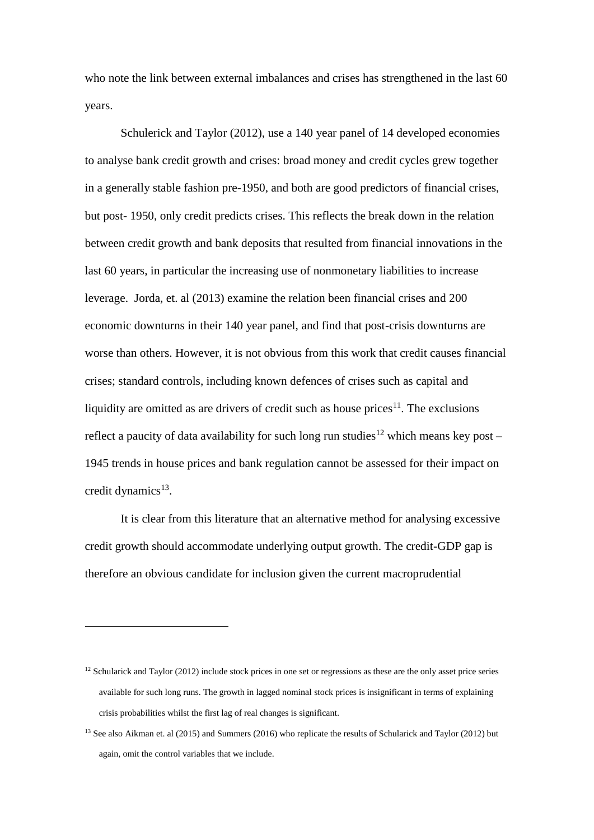who note the link between external imbalances and crises has strengthened in the last 60 years.

Schulerick and Taylor (2012), use a 140 year panel of 14 developed economies to analyse bank credit growth and crises: broad money and credit cycles grew together in a generally stable fashion pre-1950, and both are good predictors of financial crises, but post- 1950, only credit predicts crises. This reflects the break down in the relation between credit growth and bank deposits that resulted from financial innovations in the last 60 years, in particular the increasing use of nonmonetary liabilities to increase leverage. Jorda, et. al (2013) examine the relation been financial crises and 200 economic downturns in their 140 year panel, and find that post-crisis downturns are worse than others. However, it is not obvious from this work that credit causes financial crises; standard controls, including known defences of crises such as capital and liquidity are omitted as are drivers of credit such as house prices<sup>11</sup>. The exclusions reflect a paucity of data availability for such long run studies<sup>12</sup> which means key post – 1945 trends in house prices and bank regulation cannot be assessed for their impact on credit dynamics<sup>13</sup>.

It is clear from this literature that an alternative method for analysing excessive credit growth should accommodate underlying output growth. The credit-GDP gap is therefore an obvious candidate for inclusion given the current macroprudential

 $12$  Schularick and Taylor (2012) include stock prices in one set or regressions as these are the only asset price series available for such long runs. The growth in lagged nominal stock prices is insignificant in terms of explaining crisis probabilities whilst the first lag of real changes is significant.

<sup>&</sup>lt;sup>13</sup> See also Aikman et. al (2015) and Summers (2016) who replicate the results of Schularick and Taylor (2012) but again, omit the control variables that we include.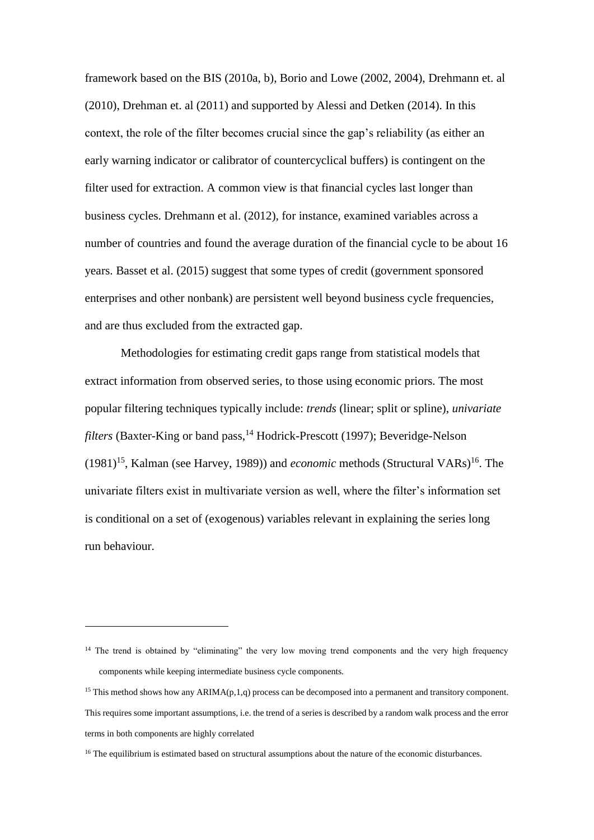framework based on the BIS (2010a, b), Borio and Lowe (2002, 2004), Drehmann et. al (2010), Drehman et. al (2011) and supported by Alessi and Detken (2014). In this context, the role of the filter becomes crucial since the gap's reliability (as either an early warning indicator or calibrator of countercyclical buffers) is contingent on the filter used for extraction. A common view is that financial cycles last longer than business cycles. Drehmann et al. (2012), for instance, examined variables across a number of countries and found the average duration of the financial cycle to be about 16 years. Basset et al. (2015) suggest that some types of credit (government sponsored enterprises and other nonbank) are persistent well beyond business cycle frequencies, and are thus excluded from the extracted gap.

Methodologies for estimating credit gaps range from statistical models that extract information from observed series, to those using economic priors. The most popular filtering techniques typically include: *trends* (linear; split or spline), *univariate filters* (Baxter-King or band pass, <sup>14</sup> Hodrick-Prescott (1997); Beveridge-Nelson (1981)<sup>15</sup>, Kalman (see Harvey, 1989)) and *economic* methods (Structural VARs)<sup>16</sup>. The univariate filters exist in multivariate version as well, where the filter's information set is conditional on a set of (exogenous) variables relevant in explaining the series long run behaviour.

<sup>&</sup>lt;sup>14</sup> The trend is obtained by "eliminating" the very low moving trend components and the very high frequency components while keeping intermediate business cycle components.

<sup>&</sup>lt;sup>15</sup> This method shows how any ARIMA $(p,1,q)$  process can be decomposed into a permanent and transitory component. This requires some important assumptions, i.e. the trend of a series is described by a random walk process and the error terms in both components are highly correlated

<sup>&</sup>lt;sup>16</sup> The equilibrium is estimated based on structural assumptions about the nature of the economic disturbances.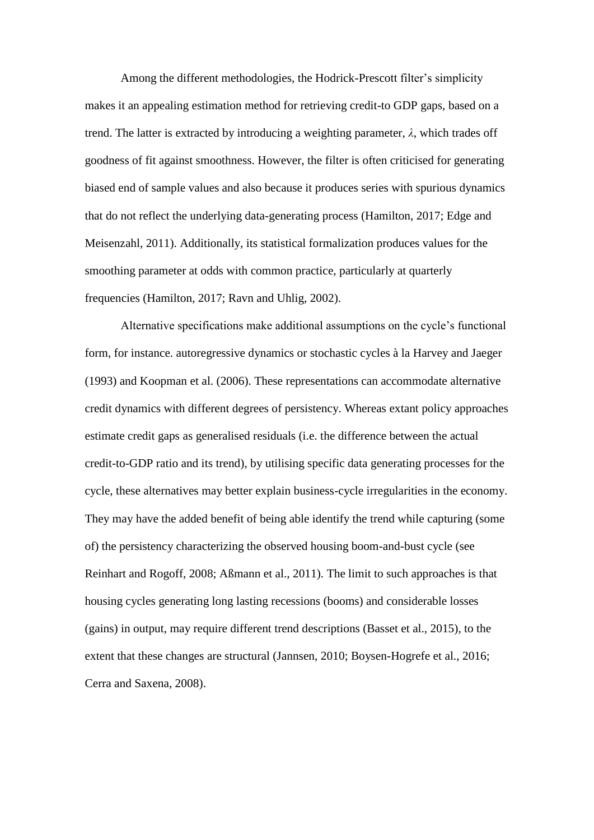Among the different methodologies, the Hodrick-Prescott filter's simplicity makes it an appealing estimation method for retrieving credit-to GDP gaps, based on a trend. The latter is extracted by introducing a weighting parameter, *λ*, which trades off goodness of fit against smoothness. However, the filter is often criticised for generating biased end of sample values and also because it produces series with spurious dynamics that do not reflect the underlying data-generating process (Hamilton, 2017; Edge and Meisenzahl, 2011). Additionally, its statistical formalization produces values for the smoothing parameter at odds with common practice, particularly at quarterly frequencies (Hamilton, 2017; Ravn and Uhlig, 2002).

Alternative specifications make additional assumptions on the cycle's functional form, for instance. autoregressive dynamics or stochastic cycles à la Harvey and Jaeger (1993) and Koopman et al. (2006). These representations can accommodate alternative credit dynamics with different degrees of persistency. Whereas extant policy approaches estimate credit gaps as generalised residuals (i.e. the difference between the actual credit-to-GDP ratio and its trend), by utilising specific data generating processes for the cycle, these alternatives may better explain business-cycle irregularities in the economy. They may have the added benefit of being able identify the trend while capturing (some of) the persistency characterizing the observed housing boom-and-bust cycle (see Reinhart and Rogoff, 2008; Aßmann et al., 2011). The limit to such approaches is that housing cycles generating long lasting recessions (booms) and considerable losses (gains) in output, may require different trend descriptions (Basset et al., 2015), to the extent that these changes are structural (Jannsen, 2010; Boysen-Hogrefe et al., 2016; Cerra and Saxena, 2008).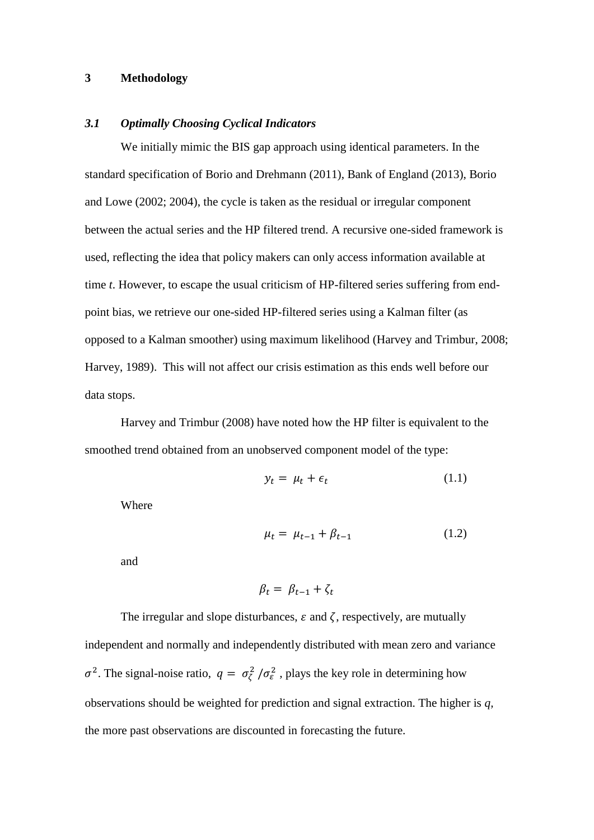#### **3 Methodology**

#### *3.1 Optimally Choosing Cyclical Indicators*

We initially mimic the BIS gap approach using identical parameters. In the standard specification of Borio and Drehmann (2011), Bank of England (2013), Borio and Lowe (2002; 2004), the cycle is taken as the residual or irregular component between the actual series and the HP filtered trend. A recursive one-sided framework is used, reflecting the idea that policy makers can only access information available at time *t*. However, to escape the usual criticism of HP-filtered series suffering from endpoint bias, we retrieve our one-sided HP-filtered series using a Kalman filter (as opposed to a Kalman smoother) using maximum likelihood (Harvey and Trimbur, 2008; Harvey, 1989). This will not affect our crisis estimation as this ends well before our data stops.

Harvey and Trimbur (2008) have noted how the HP filter is equivalent to the smoothed trend obtained from an unobserved component model of the type:

$$
y_t = \mu_t + \epsilon_t \tag{1.1}
$$

Where

$$
\mu_t = \mu_{t-1} + \beta_{t-1} \tag{1.2}
$$

and

$$
\beta_t = \beta_{t-1} + \zeta_t
$$

The irregular and slope disturbances,  $\varepsilon$  and  $\zeta$ , respectively, are mutually independent and normally and independently distributed with mean zero and variance  $\sigma^2$ . The signal-noise ratio,  $q = \sigma_{\zeta}^2 / \sigma_{\epsilon}^2$ , plays the key role in determining how observations should be weighted for prediction and signal extraction. The higher is *q,*  the more past observations are discounted in forecasting the future.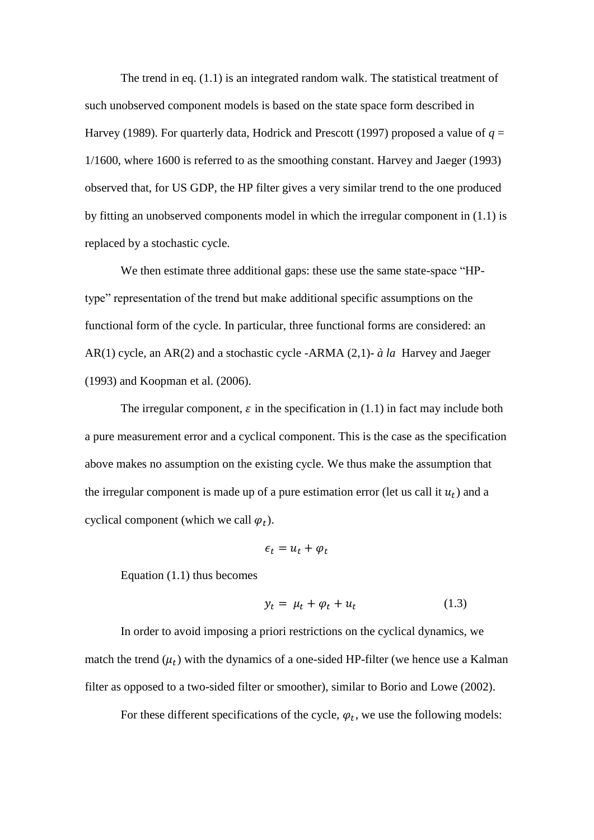The trend in eq. (1.1) is an integrated random walk. The statistical treatment of such unobserved component models is based on the state space form described in Harvey (1989). For quarterly data, Hodrick and Prescott (1997) proposed a value of  $q =$ 1/1600, where 1600 is referred to as the smoothing constant. Harvey and Jaeger (1993) observed that, for US GDP, the HP filter gives a very similar trend to the one produced by fitting an unobserved components model in which the irregular component in (1.1) is replaced by a stochastic cycle.

We then estimate three additional gaps: these use the same state-space "HPtype" representation of the trend but make additional specific assumptions on the functional form of the cycle. In particular, three functional forms are considered: an AR(1) cycle, an AR(2) and a stochastic cycle -ARMA (2,1)- *à la* Harvey and Jaeger (1993) and Koopman et al. (2006).

The irregular component,  $\varepsilon$  in the specification in (1.1) in fact may include both a pure measurement error and a cyclical component. This is the case as the specification above makes no assumption on the existing cycle. We thus make the assumption that the irregular component is made up of a pure estimation error (let us call it  $u_t$ ) and a cyclical component (which we call  $\varphi_t$ ).

$$
\epsilon_t = u_t + \varphi_t
$$

Equation (1.1) thus becomes

$$
y_t = \mu_t + \varphi_t + u_t \tag{1.3}
$$

In order to avoid imposing a priori restrictions on the cyclical dynamics, we match the trend  $(\mu_t)$  with the dynamics of a one-sided HP-filter (we hence use a Kalman filter as opposed to a two-sided filter or smoother), similar to Borio and Lowe (2002).

For these different specifications of the cycle,  $\varphi_t$ , we use the following models: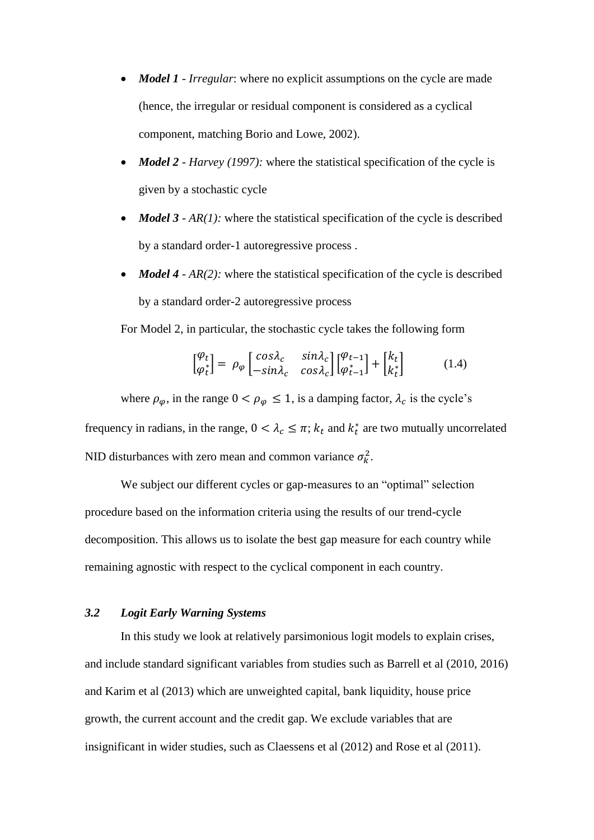- *Model 1 - Irregular*: where no explicit assumptions on the cycle are made (hence, the irregular or residual component is considered as a cyclical component, matching Borio and Lowe, 2002).
- *Model 2 - Harvey (1997):* where the statistical specification of the cycle is given by a stochastic cycle
- *Model 3 AR(1):* where the statistical specification of the cycle is described by a standard order-1 autoregressive process .
- *Model 4 AR(2)*: where the statistical specification of the cycle is described by a standard order-2 autoregressive process

For Model 2, in particular, the stochastic cycle takes the following form

$$
\begin{bmatrix} \varphi_t \\ \varphi_t^* \end{bmatrix} = \rho_\varphi \begin{bmatrix} \cos \lambda_c & \sin \lambda_c \\ -\sin \lambda_c & \cos \lambda_c \end{bmatrix} \begin{bmatrix} \varphi_{t-1} \\ \varphi_{t-1}^* \end{bmatrix} + \begin{bmatrix} k_t \\ k_t^* \end{bmatrix} \tag{1.4}
$$

where  $\rho_{\varphi}$ , in the range  $0 < \rho_{\varphi} \le 1$ , is a damping factor,  $\lambda_c$  is the cycle's frequency in radians, in the range,  $0 < \lambda_c \leq \pi$ ;  $k_t$  and  $k_t^*$  are two mutually uncorrelated NID disturbances with zero mean and common variance  $\sigma_k^2$ .

We subject our different cycles or gap-measures to an "optimal" selection procedure based on the information criteria using the results of our trend-cycle decomposition. This allows us to isolate the best gap measure for each country while remaining agnostic with respect to the cyclical component in each country.

#### *3.2 Logit Early Warning Systems*

In this study we look at relatively parsimonious logit models to explain crises, and include standard significant variables from studies such as Barrell et al (2010, 2016) and Karim et al (2013) which are unweighted capital, bank liquidity, house price growth, the current account and the credit gap. We exclude variables that are insignificant in wider studies, such as Claessens et al (2012) and Rose et al (2011).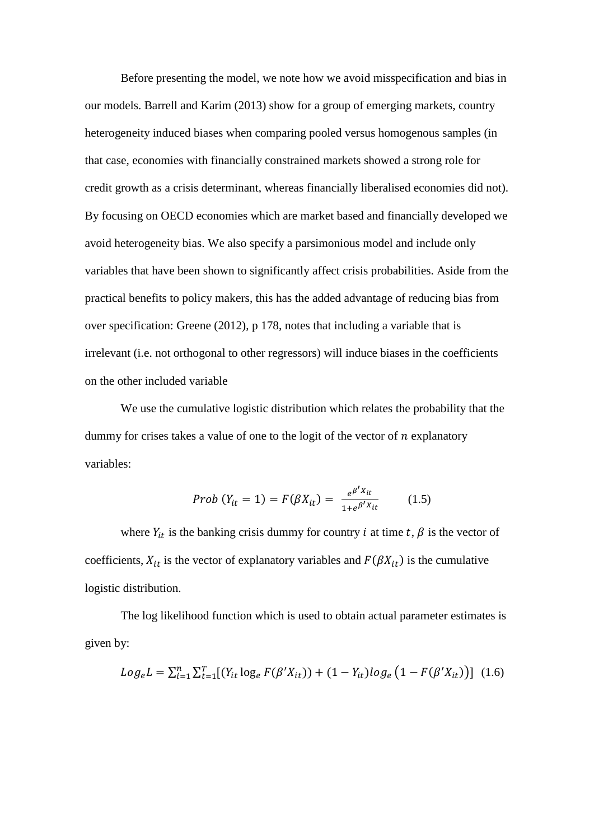Before presenting the model, we note how we avoid misspecification and bias in our models. Barrell and Karim (2013) show for a group of emerging markets, country heterogeneity induced biases when comparing pooled versus homogenous samples (in that case, economies with financially constrained markets showed a strong role for credit growth as a crisis determinant, whereas financially liberalised economies did not). By focusing on OECD economies which are market based and financially developed we avoid heterogeneity bias. We also specify a parsimonious model and include only variables that have been shown to significantly affect crisis probabilities. Aside from the practical benefits to policy makers, this has the added advantage of reducing bias from over specification: Greene (2012), p 178, notes that including a variable that is irrelevant (i.e. not orthogonal to other regressors) will induce biases in the coefficients on the other included variable

We use the cumulative logistic distribution which relates the probability that the dummy for crises takes a value of one to the logit of the vector of  $n$  explanatory variables:

*Prob* 
$$
(Y_{it} = 1) = F(\beta X_{it}) = \frac{e^{\beta' X_{it}}}{1 + e^{\beta' X_{it}}}
$$
 (1.5)

where  $Y_{it}$  is the banking crisis dummy for country *i* at time  $t$ ,  $\beta$  is the vector of coefficients,  $X_{it}$  is the vector of explanatory variables and  $F(\beta X_{it})$  is the cumulative logistic distribution.

The log likelihood function which is used to obtain actual parameter estimates is given by:

$$
Log_{e}L = \sum_{i=1}^{n} \sum_{t=1}^{T} [(Y_{it} log_{e} F(\beta' X_{it})) + (1 - Y_{it}) log_{e} (1 - F(\beta' X_{it}))]
$$
(1.6)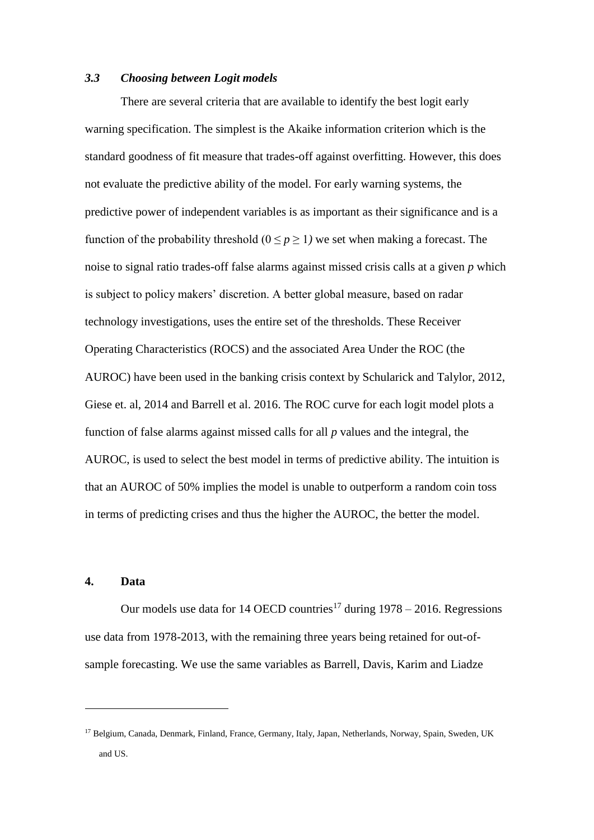#### *3.3 Choosing between Logit models*

There are several criteria that are available to identify the best logit early warning specification. The simplest is the Akaike information criterion which is the standard goodness of fit measure that trades-off against overfitting. However, this does not evaluate the predictive ability of the model. For early warning systems, the predictive power of independent variables is as important as their significance and is a function of the probability threshold  $(0 \le p \ge 1)$  we set when making a forecast. The noise to signal ratio trades-off false alarms against missed crisis calls at a given *p* which is subject to policy makers' discretion. A better global measure, based on radar technology investigations, uses the entire set of the thresholds. These Receiver Operating Characteristics (ROCS) and the associated Area Under the ROC (the AUROC) have been used in the banking crisis context by Schularick and Talylor, 2012, Giese et. al, 2014 and Barrell et al. 2016. The ROC curve for each logit model plots a function of false alarms against missed calls for all *p* values and the integral, the AUROC, is used to select the best model in terms of predictive ability. The intuition is that an AUROC of 50% implies the model is unable to outperform a random coin toss in terms of predicting crises and thus the higher the AUROC, the better the model.

#### **4. Data**

<u>.</u>

Our models use data for 14 OECD countries<sup>17</sup> during  $1978 - 2016$ . Regressions use data from 1978-2013, with the remaining three years being retained for out-ofsample forecasting. We use the same variables as Barrell, Davis, Karim and Liadze

<sup>17</sup> Belgium, Canada, Denmark, Finland, France, Germany, Italy, Japan, Netherlands, Norway, Spain, Sweden, UK and US.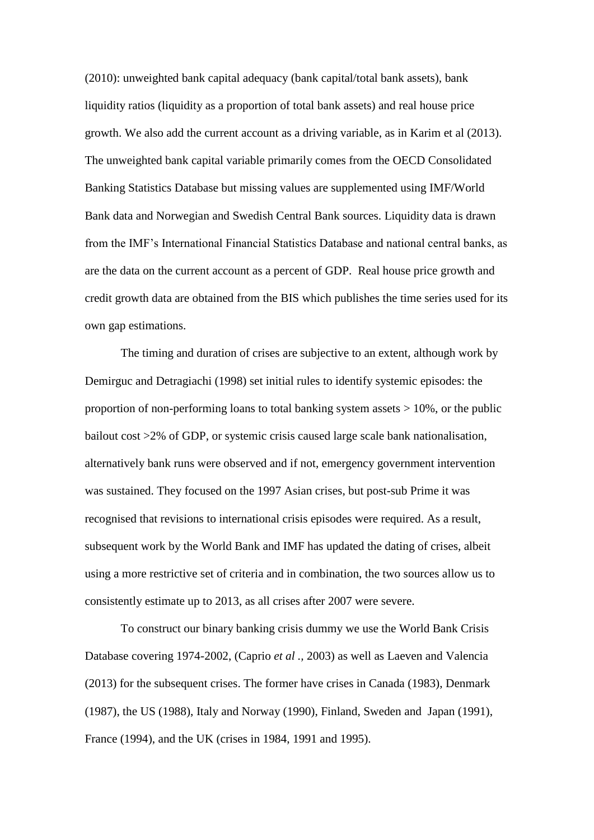(2010): unweighted bank capital adequacy (bank capital/total bank assets), bank liquidity ratios (liquidity as a proportion of total bank assets) and real house price growth. We also add the current account as a driving variable, as in Karim et al (2013). The unweighted bank capital variable primarily comes from the OECD Consolidated Banking Statistics Database but missing values are supplemented using IMF/World Bank data and Norwegian and Swedish Central Bank sources. Liquidity data is drawn from the IMF's International Financial Statistics Database and national central banks, as are the data on the current account as a percent of GDP. Real house price growth and credit growth data are obtained from the BIS which publishes the time series used for its own gap estimations.

The timing and duration of crises are subjective to an extent, although work by Demirguc and Detragiachi (1998) set initial rules to identify systemic episodes: the proportion of non-performing loans to total banking system assets  $> 10\%$ , or the public bailout cost >2% of GDP, or systemic crisis caused large scale bank nationalisation, alternatively bank runs were observed and if not, emergency government intervention was sustained. They focused on the 1997 Asian crises, but post-sub Prime it was recognised that revisions to international crisis episodes were required. As a result, subsequent work by the World Bank and IMF has updated the dating of crises, albeit using a more restrictive set of criteria and in combination, the two sources allow us to consistently estimate up to 2013, as all crises after 2007 were severe.

To construct our binary banking crisis dummy we use the World Bank Crisis Database covering 1974-2002, (Caprio *et al .,* 2003) as well as Laeven and Valencia (2013) for the subsequent crises. The former have crises in Canada (1983), Denmark (1987), the US (1988), Italy and Norway (1990), Finland, Sweden and Japan (1991), France (1994), and the UK (crises in 1984, 1991 and 1995).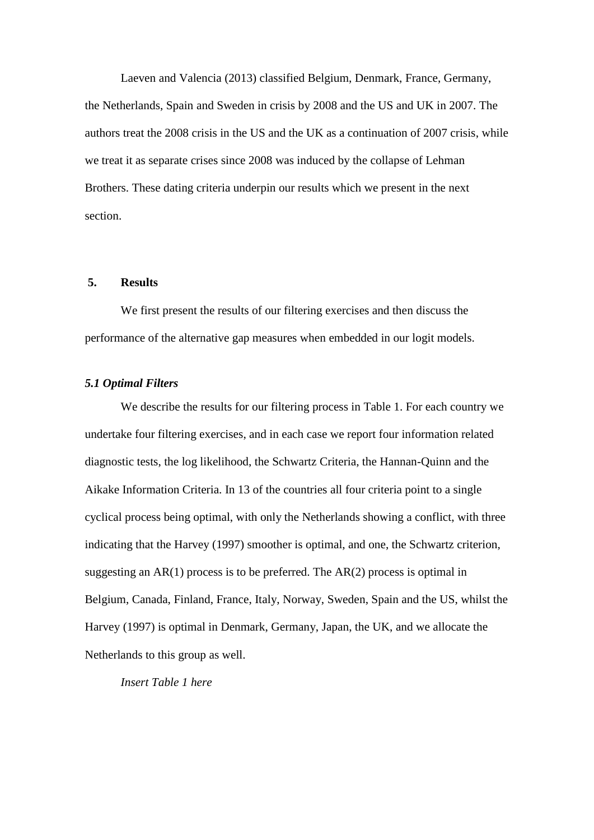Laeven and Valencia (2013) classified Belgium, Denmark, France, Germany, the Netherlands, Spain and Sweden in crisis by 2008 and the US and UK in 2007. The authors treat the 2008 crisis in the US and the UK as a continuation of 2007 crisis, while we treat it as separate crises since 2008 was induced by the collapse of Lehman Brothers. These dating criteria underpin our results which we present in the next section.

#### **5. Results**

We first present the results of our filtering exercises and then discuss the performance of the alternative gap measures when embedded in our logit models.

#### *5.1 Optimal Filters*

We describe the results for our filtering process in Table 1. For each country we undertake four filtering exercises, and in each case we report four information related diagnostic tests, the log likelihood, the Schwartz Criteria, the Hannan-Quinn and the Aikake Information Criteria. In 13 of the countries all four criteria point to a single cyclical process being optimal, with only the Netherlands showing a conflict, with three indicating that the Harvey (1997) smoother is optimal, and one, the Schwartz criterion, suggesting an  $AR(1)$  process is to be preferred. The  $AR(2)$  process is optimal in Belgium, Canada, Finland, France, Italy, Norway, Sweden, Spain and the US, whilst the Harvey (1997) is optimal in Denmark, Germany, Japan, the UK, and we allocate the Netherlands to this group as well.

*Insert Table 1 here*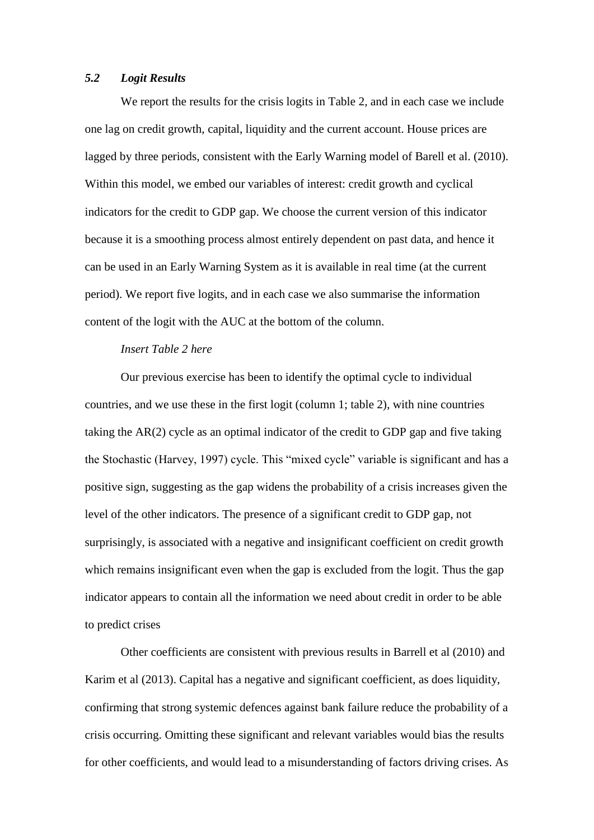#### *5.2 Logit Results*

We report the results for the crisis logits in Table 2, and in each case we include one lag on credit growth, capital, liquidity and the current account. House prices are lagged by three periods, consistent with the Early Warning model of Barell et al. (2010). Within this model, we embed our variables of interest: credit growth and cyclical indicators for the credit to GDP gap. We choose the current version of this indicator because it is a smoothing process almost entirely dependent on past data, and hence it can be used in an Early Warning System as it is available in real time (at the current period). We report five logits, and in each case we also summarise the information content of the logit with the AUC at the bottom of the column.

#### *Insert Table 2 here*

Our previous exercise has been to identify the optimal cycle to individual countries, and we use these in the first logit (column 1; table 2), with nine countries taking the AR(2) cycle as an optimal indicator of the credit to GDP gap and five taking the Stochastic (Harvey, 1997) cycle. This "mixed cycle" variable is significant and has a positive sign, suggesting as the gap widens the probability of a crisis increases given the level of the other indicators. The presence of a significant credit to GDP gap, not surprisingly, is associated with a negative and insignificant coefficient on credit growth which remains insignificant even when the gap is excluded from the logit. Thus the gap indicator appears to contain all the information we need about credit in order to be able to predict crises

Other coefficients are consistent with previous results in Barrell et al (2010) and Karim et al (2013). Capital has a negative and significant coefficient, as does liquidity, confirming that strong systemic defences against bank failure reduce the probability of a crisis occurring. Omitting these significant and relevant variables would bias the results for other coefficients, and would lead to a misunderstanding of factors driving crises. As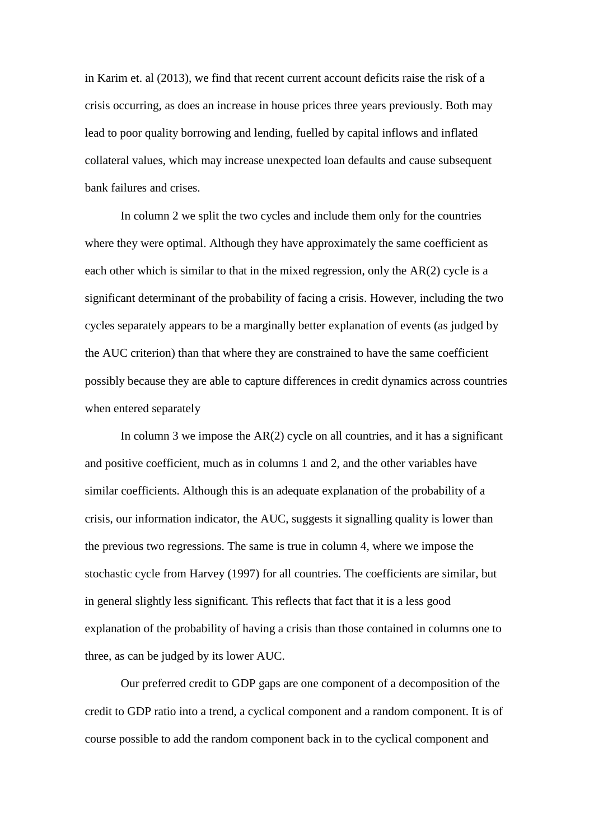in Karim et. al (2013), we find that recent current account deficits raise the risk of a crisis occurring, as does an increase in house prices three years previously. Both may lead to poor quality borrowing and lending, fuelled by capital inflows and inflated collateral values, which may increase unexpected loan defaults and cause subsequent bank failures and crises.

In column 2 we split the two cycles and include them only for the countries where they were optimal. Although they have approximately the same coefficient as each other which is similar to that in the mixed regression, only the AR(2) cycle is a significant determinant of the probability of facing a crisis. However, including the two cycles separately appears to be a marginally better explanation of events (as judged by the AUC criterion) than that where they are constrained to have the same coefficient possibly because they are able to capture differences in credit dynamics across countries when entered separately

In column 3 we impose the  $AR(2)$  cycle on all countries, and it has a significant and positive coefficient, much as in columns 1 and 2, and the other variables have similar coefficients. Although this is an adequate explanation of the probability of a crisis, our information indicator, the AUC, suggests it signalling quality is lower than the previous two regressions. The same is true in column 4, where we impose the stochastic cycle from Harvey (1997) for all countries. The coefficients are similar, but in general slightly less significant. This reflects that fact that it is a less good explanation of the probability of having a crisis than those contained in columns one to three, as can be judged by its lower AUC.

Our preferred credit to GDP gaps are one component of a decomposition of the credit to GDP ratio into a trend, a cyclical component and a random component. It is of course possible to add the random component back in to the cyclical component and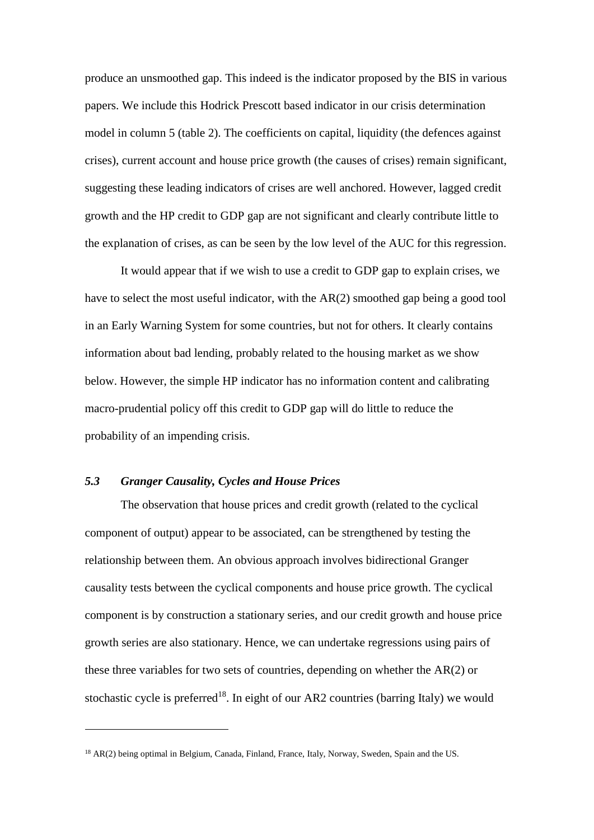produce an unsmoothed gap. This indeed is the indicator proposed by the BIS in various papers. We include this Hodrick Prescott based indicator in our crisis determination model in column 5 (table 2). The coefficients on capital, liquidity (the defences against crises), current account and house price growth (the causes of crises) remain significant, suggesting these leading indicators of crises are well anchored. However, lagged credit growth and the HP credit to GDP gap are not significant and clearly contribute little to the explanation of crises, as can be seen by the low level of the AUC for this regression.

It would appear that if we wish to use a credit to GDP gap to explain crises, we have to select the most useful indicator, with the AR(2) smoothed gap being a good tool in an Early Warning System for some countries, but not for others. It clearly contains information about bad lending, probably related to the housing market as we show below. However, the simple HP indicator has no information content and calibrating macro-prudential policy off this credit to GDP gap will do little to reduce the probability of an impending crisis.

#### *5.3 Granger Causality, Cycles and House Prices*

<u>.</u>

The observation that house prices and credit growth (related to the cyclical component of output) appear to be associated, can be strengthened by testing the relationship between them. An obvious approach involves bidirectional Granger causality tests between the cyclical components and house price growth. The cyclical component is by construction a stationary series, and our credit growth and house price growth series are also stationary. Hence, we can undertake regressions using pairs of these three variables for two sets of countries, depending on whether the AR(2) or stochastic cycle is preferred<sup>18</sup>. In eight of our AR2 countries (barring Italy) we would

<sup>&</sup>lt;sup>18</sup> AR(2) being optimal in Belgium, Canada, Finland, France, Italy, Norway, Sweden, Spain and the US.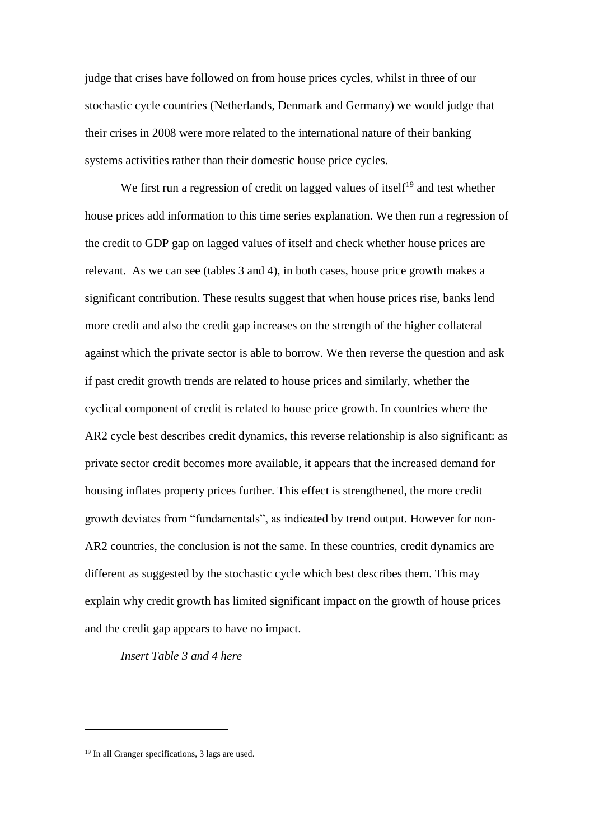judge that crises have followed on from house prices cycles, whilst in three of our stochastic cycle countries (Netherlands, Denmark and Germany) we would judge that their crises in 2008 were more related to the international nature of their banking systems activities rather than their domestic house price cycles.

We first run a regression of credit on lagged values of itself<sup>19</sup> and test whether house prices add information to this time series explanation. We then run a regression of the credit to GDP gap on lagged values of itself and check whether house prices are relevant. As we can see (tables 3 and 4), in both cases, house price growth makes a significant contribution. These results suggest that when house prices rise, banks lend more credit and also the credit gap increases on the strength of the higher collateral against which the private sector is able to borrow. We then reverse the question and ask if past credit growth trends are related to house prices and similarly, whether the cyclical component of credit is related to house price growth. In countries where the AR2 cycle best describes credit dynamics, this reverse relationship is also significant: as private sector credit becomes more available, it appears that the increased demand for housing inflates property prices further. This effect is strengthened, the more credit growth deviates from "fundamentals", as indicated by trend output. However for non-AR2 countries, the conclusion is not the same. In these countries, credit dynamics are different as suggested by the stochastic cycle which best describes them. This may explain why credit growth has limited significant impact on the growth of house prices and the credit gap appears to have no impact.

*Insert Table 3 and 4 here*

<sup>19</sup> In all Granger specifications, 3 lags are used.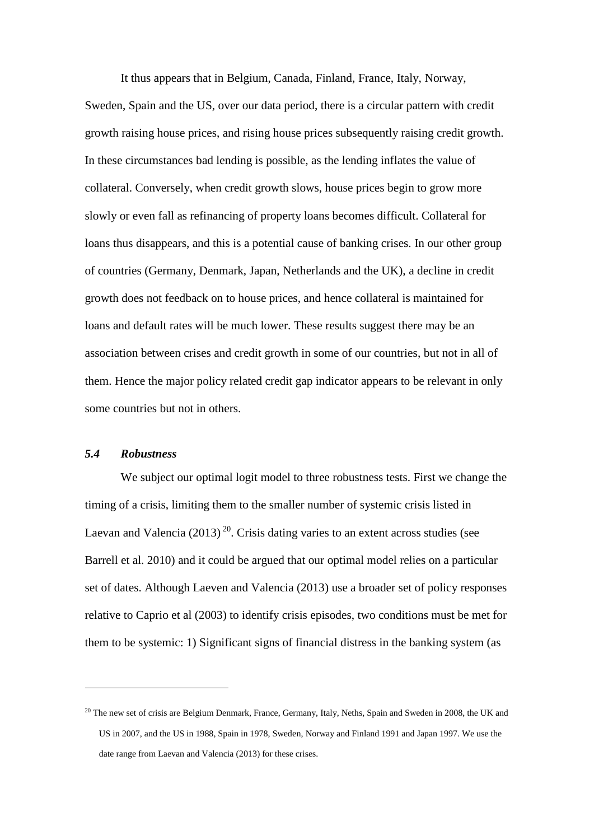It thus appears that in Belgium, Canada, Finland, France, Italy, Norway, Sweden, Spain and the US, over our data period, there is a circular pattern with credit growth raising house prices, and rising house prices subsequently raising credit growth. In these circumstances bad lending is possible, as the lending inflates the value of collateral. Conversely, when credit growth slows, house prices begin to grow more slowly or even fall as refinancing of property loans becomes difficult. Collateral for loans thus disappears, and this is a potential cause of banking crises. In our other group of countries (Germany, Denmark, Japan, Netherlands and the UK), a decline in credit growth does not feedback on to house prices, and hence collateral is maintained for loans and default rates will be much lower. These results suggest there may be an association between crises and credit growth in some of our countries, but not in all of them. Hence the major policy related credit gap indicator appears to be relevant in only some countries but not in others.

#### *5.4 Robustness*

<u>.</u>

We subject our optimal logit model to three robustness tests. First we change the timing of a crisis, limiting them to the smaller number of systemic crisis listed in Laevan and Valencia  $(2013)^{20}$ . Crisis dating varies to an extent across studies (see Barrell et al. 2010) and it could be argued that our optimal model relies on a particular set of dates. Although Laeven and Valencia (2013) use a broader set of policy responses relative to Caprio et al (2003) to identify crisis episodes, two conditions must be met for them to be systemic: 1) Significant signs of financial distress in the banking system (as

<sup>&</sup>lt;sup>20</sup> The new set of crisis are Belgium Denmark, France, Germany, Italy, Neths, Spain and Sweden in 2008, the UK and US in 2007, and the US in 1988, Spain in 1978, Sweden, Norway and Finland 1991 and Japan 1997. We use the date range from Laevan and Valencia (2013) for these crises.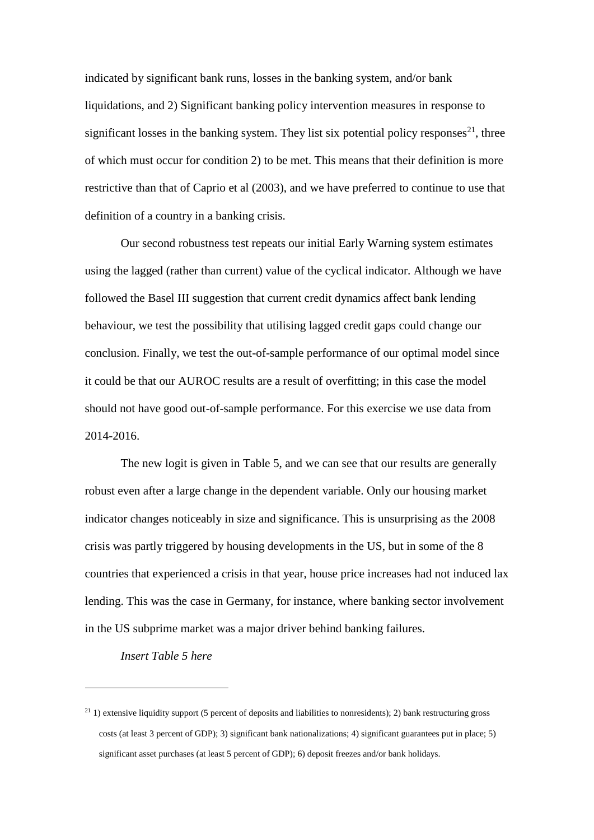indicated by significant bank runs, losses in the banking system, and/or bank liquidations, and 2) Significant banking policy intervention measures in response to significant losses in the banking system. They list six potential policy responses<sup>21</sup>, three of which must occur for condition 2) to be met. This means that their definition is more restrictive than that of Caprio et al (2003), and we have preferred to continue to use that definition of a country in a banking crisis.

Our second robustness test repeats our initial Early Warning system estimates using the lagged (rather than current) value of the cyclical indicator. Although we have followed the Basel III suggestion that current credit dynamics affect bank lending behaviour, we test the possibility that utilising lagged credit gaps could change our conclusion. Finally, we test the out-of-sample performance of our optimal model since it could be that our AUROC results are a result of overfitting; in this case the model should not have good out-of-sample performance. For this exercise we use data from 2014-2016.

The new logit is given in Table 5, and we can see that our results are generally robust even after a large change in the dependent variable. Only our housing market indicator changes noticeably in size and significance. This is unsurprising as the 2008 crisis was partly triggered by housing developments in the US, but in some of the 8 countries that experienced a crisis in that year, house price increases had not induced lax lending. This was the case in Germany, for instance, where banking sector involvement in the US subprime market was a major driver behind banking failures.

*Insert Table 5 here*

 $21$  1) extensive liquidity support (5 percent of deposits and liabilities to nonresidents); 2) bank restructuring gross costs (at least 3 percent of GDP); 3) significant bank nationalizations; 4) significant guarantees put in place; 5) significant asset purchases (at least 5 percent of GDP); 6) deposit freezes and/or bank holidays.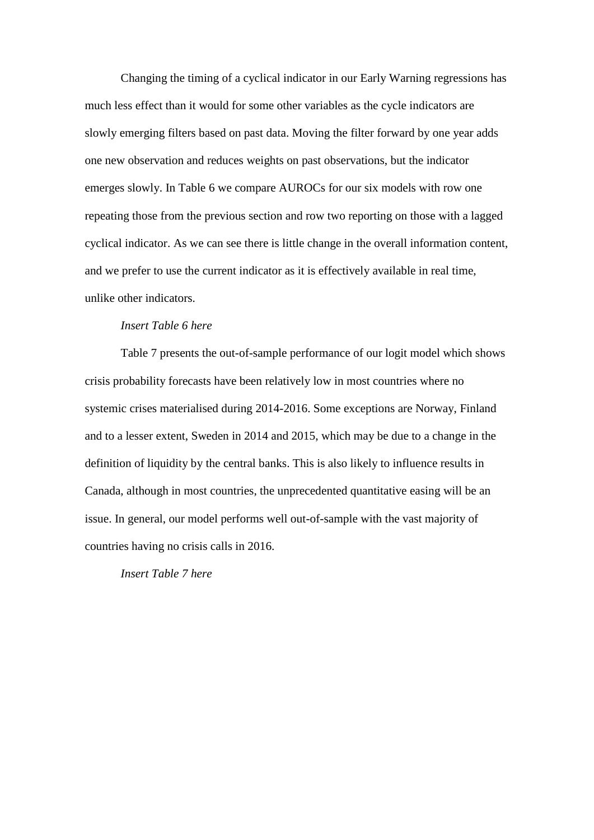Changing the timing of a cyclical indicator in our Early Warning regressions has much less effect than it would for some other variables as the cycle indicators are slowly emerging filters based on past data. Moving the filter forward by one year adds one new observation and reduces weights on past observations, but the indicator emerges slowly. In Table 6 we compare AUROCs for our six models with row one repeating those from the previous section and row two reporting on those with a lagged cyclical indicator. As we can see there is little change in the overall information content, and we prefer to use the current indicator as it is effectively available in real time, unlike other indicators.

#### *Insert Table 6 here*

Table 7 presents the out-of-sample performance of our logit model which shows crisis probability forecasts have been relatively low in most countries where no systemic crises materialised during 2014-2016. Some exceptions are Norway, Finland and to a lesser extent, Sweden in 2014 and 2015, which may be due to a change in the definition of liquidity by the central banks. This is also likely to influence results in Canada, although in most countries, the unprecedented quantitative easing will be an issue. In general, our model performs well out-of-sample with the vast majority of countries having no crisis calls in 2016.

*Insert Table 7 here*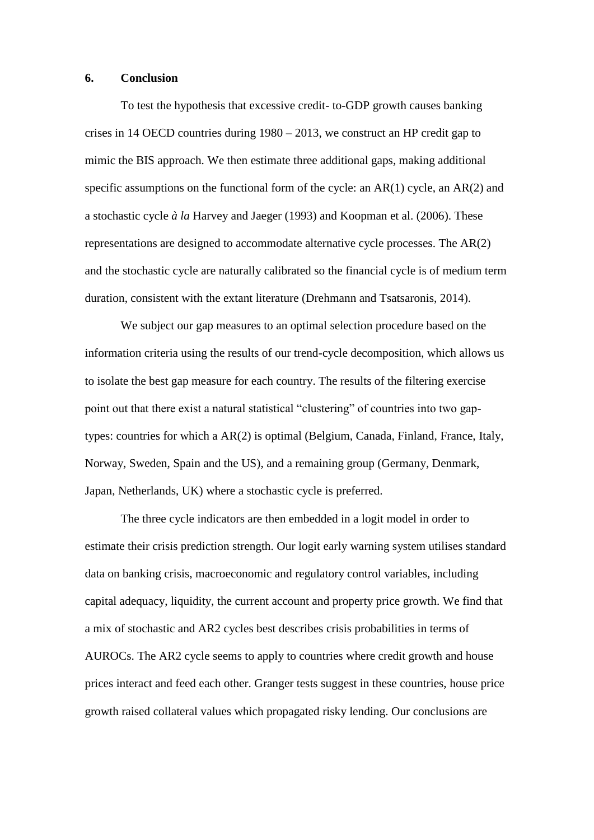#### **6. Conclusion**

To test the hypothesis that excessive credit- to-GDP growth causes banking crises in 14 OECD countries during 1980 – 2013, we construct an HP credit gap to mimic the BIS approach. We then estimate three additional gaps, making additional specific assumptions on the functional form of the cycle: an AR(1) cycle, an AR(2) and a stochastic cycle *à la* Harvey and Jaeger (1993) and Koopman et al. (2006). These representations are designed to accommodate alternative cycle processes. The AR(2) and the stochastic cycle are naturally calibrated so the financial cycle is of medium term duration, consistent with the extant literature (Drehmann and Tsatsaronis, 2014).

We subject our gap measures to an optimal selection procedure based on the information criteria using the results of our trend-cycle decomposition, which allows us to isolate the best gap measure for each country. The results of the filtering exercise point out that there exist a natural statistical "clustering" of countries into two gaptypes: countries for which a AR(2) is optimal (Belgium, Canada, Finland, France, Italy, Norway, Sweden, Spain and the US), and a remaining group (Germany, Denmark, Japan, Netherlands, UK) where a stochastic cycle is preferred.

The three cycle indicators are then embedded in a logit model in order to estimate their crisis prediction strength. Our logit early warning system utilises standard data on banking crisis, macroeconomic and regulatory control variables, including capital adequacy, liquidity, the current account and property price growth. We find that a mix of stochastic and AR2 cycles best describes crisis probabilities in terms of AUROCs. The AR2 cycle seems to apply to countries where credit growth and house prices interact and feed each other. Granger tests suggest in these countries, house price growth raised collateral values which propagated risky lending. Our conclusions are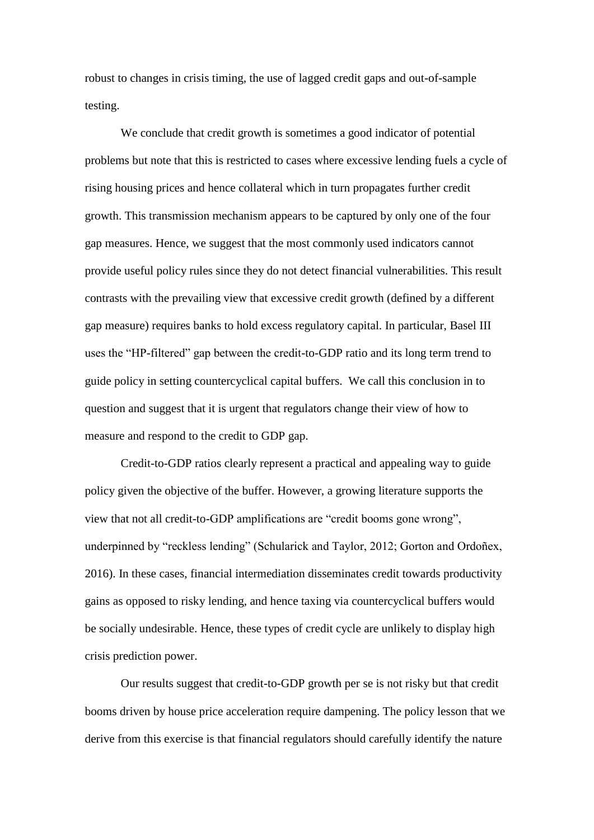robust to changes in crisis timing, the use of lagged credit gaps and out-of-sample testing.

We conclude that credit growth is sometimes a good indicator of potential problems but note that this is restricted to cases where excessive lending fuels a cycle of rising housing prices and hence collateral which in turn propagates further credit growth. This transmission mechanism appears to be captured by only one of the four gap measures. Hence, we suggest that the most commonly used indicators cannot provide useful policy rules since they do not detect financial vulnerabilities. This result contrasts with the prevailing view that excessive credit growth (defined by a different gap measure) requires banks to hold excess regulatory capital. In particular, Basel III uses the "HP-filtered" gap between the credit-to-GDP ratio and its long term trend to guide policy in setting countercyclical capital buffers. We call this conclusion in to question and suggest that it is urgent that regulators change their view of how to measure and respond to the credit to GDP gap.

Credit-to-GDP ratios clearly represent a practical and appealing way to guide policy given the objective of the buffer. However, a growing literature supports the view that not all credit-to-GDP amplifications are "credit booms gone wrong", underpinned by "reckless lending" (Schularick and Taylor, 2012; Gorton and Ordoñex, 2016). In these cases, financial intermediation disseminates credit towards productivity gains as opposed to risky lending, and hence taxing via countercyclical buffers would be socially undesirable. Hence, these types of credit cycle are unlikely to display high crisis prediction power.

Our results suggest that credit-to-GDP growth per se is not risky but that credit booms driven by house price acceleration require dampening. The policy lesson that we derive from this exercise is that financial regulators should carefully identify the nature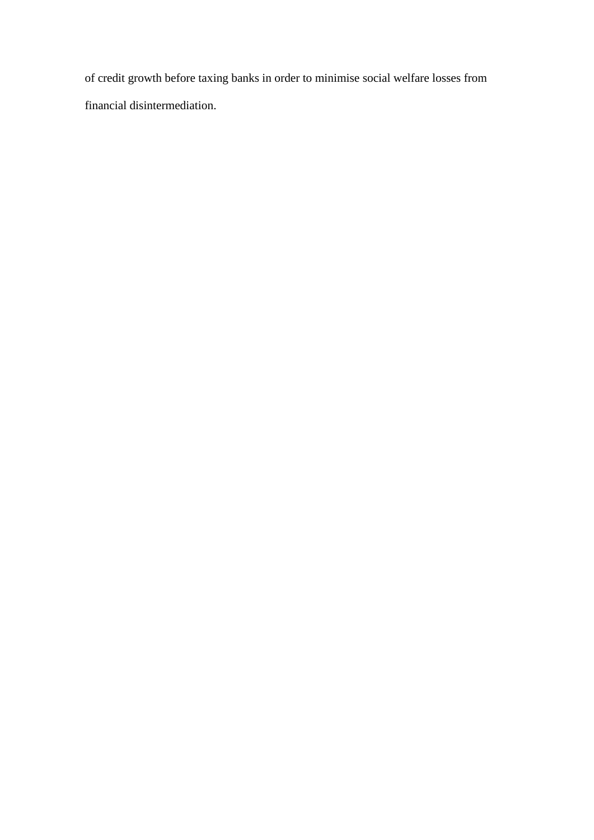of credit growth before taxing banks in order to minimise social welfare losses from financial disintermediation.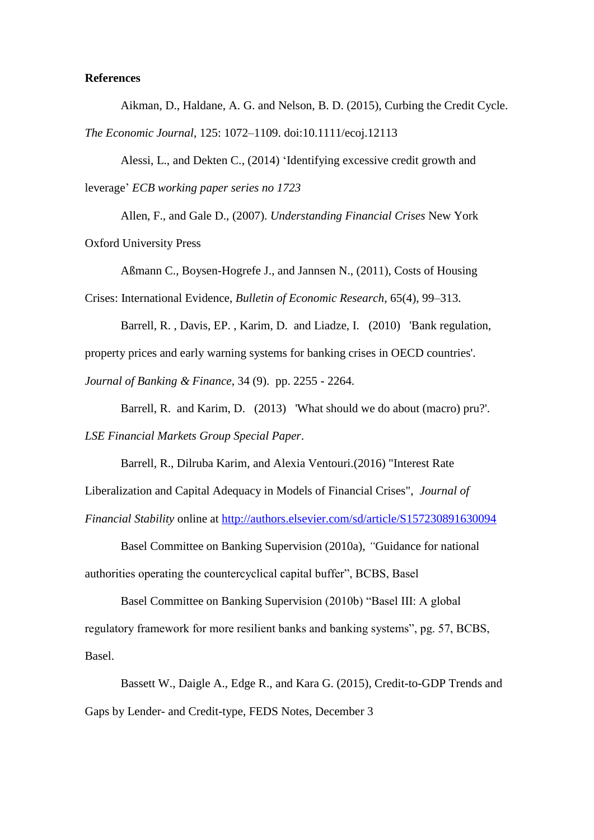#### **References**

Aikman, D., Haldane, A. G. and Nelson, B. D. (2015), Curbing the Credit Cycle.

*The Economic Journal*, 125: 1072–1109. doi:10.1111/ecoj.12113

Alessi, L., and Dekten C., (2014) 'Identifying excessive credit growth and leverage' *ECB working paper series no 1723*

Allen, F., and Gale D., (2007). *Understanding Financial Crises* New York Oxford University Press

Aßmann C., Boysen-Hogrefe J., and Jannsen N., (2011), Costs of Housing Crises: International Evidence, *Bulletin of Economic Research*, 65(4), 99–313.

Barrell, R. , Davis, EP. , Karim, D. and Liadze, I. (2010) 'Bank regulation, property prices and early warning systems for banking crises in OECD countries'. *Journal of Banking & Finance*, 34 (9). pp. 2255 - 2264.

Barrell, R. and Karim, D. (2013) 'What should we do about (macro) pru?'. *LSE Financial Markets Group Special Paper*.

Barrell, R., Dilruba Karim, and Alexia Ventouri.(2016) "Interest Rate Liberalization and Capital Adequacy in Models of Financial Crises", *Journal of Financial Stability* online at [http://authors.elsevier.com/sd/article/S157230891630094](https://cas.brunel.ac.uk/owa/redir.aspx?C=7JT1DtVNcrvXFcOAW-w6dGiYrSi7Hys75ERJYFuH-094hqcU-BnUCA..&URL=http%3a%2f%2fauthors.elsevier.com%2fsd%2farticle%2fS1572308916300948)

Basel Committee on Banking Supervision (2010a), *"*Guidance for national authorities operating the countercyclical capital buffer", BCBS, Basel

Basel Committee on Banking Supervision (2010b) "Basel III: A global regulatory framework for more resilient banks and banking systems", pg. 57, BCBS, Basel.

Bassett W., Daigle A., Edge R., and Kara G. (2015), Credit-to-GDP Trends and Gaps by Lender- and Credit-type, FEDS Notes, December 3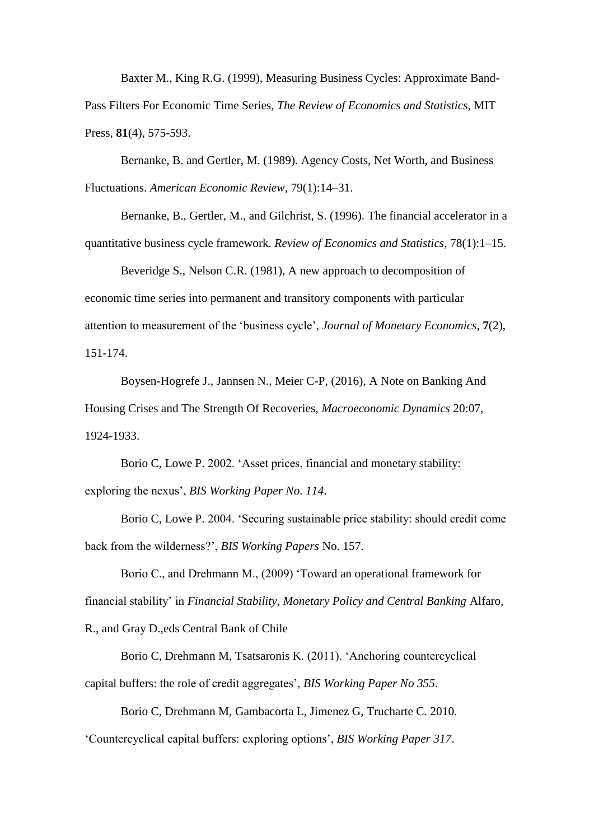Baxter M., King R.G. (1999), Measuring Business Cycles: Approximate Band-Pass Filters For Economic Time Series, *The Review of Economics and Statistics*, MIT Press, **81**(4), 575-593.

Bernanke, B. and Gertler, M. (1989). Agency Costs, Net Worth, and Business Fluctuations. *American Economic Review*, 79(1):14–31.

Bernanke, B., Gertler, M., and Gilchrist, S. (1996). The financial accelerator in a quantitative business cycle framework. *Review of Economics and Statistics*, 78(1):1–15.

Beveridge S., Nelson C.R. (1981), A new approach to decomposition of economic time series into permanent and transitory components with particular attention to measurement of the 'business cycle', *Journal of Monetary Economics*, **7**(2), 151-174.

Boysen-Hogrefe J., Jannsen N., Meier C-P, (2016), A Note on Banking And Housing Crises and The Strength Of Recoveries, *Macroeconomic Dynamics* 20:07, 1924-1933.

Borio C, Lowe P. 2002. 'Asset prices, financial and monetary stability: exploring the nexus', *BIS Working Paper No. 114*.

Borio C, Lowe P. 2004. 'Securing sustainable price stability: should credit come back from the wilderness?', *BIS Working Papers* No. 157.

Borio C., and Drehmann M., (2009) 'Toward an operational framework for financial stability' in *Financial Stability, Monetary Policy and Central Banking* Alfaro, R., and Gray D.,eds Central Bank of Chile

Borio C, Drehmann M, Tsatsaronis K. (2011). 'Anchoring countercyclical capital buffers: the role of credit aggregates', *BIS Working Paper No 355*.

Borio C, Drehmann M, Gambacorta L, Jimenez G, Trucharte C. 2010.

'Countercyclical capital buffers: exploring options', *BIS Working Paper 317*.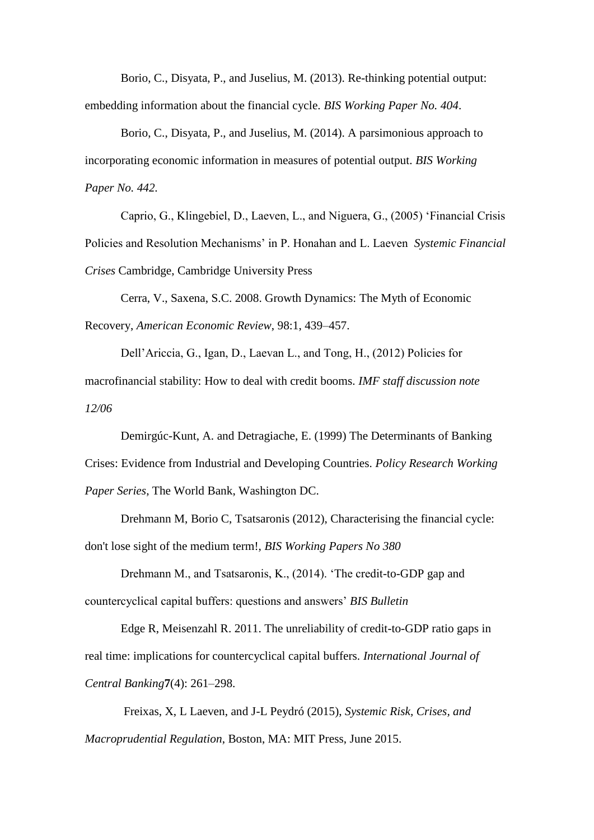Borio, C., Disyata, P., and Juselius, M. (2013). Re-thinking potential output: embedding information about the financial cycle. *BIS Working Paper No. 404*.

Borio, C., Disyata, P., and Juselius, M. (2014). A parsimonious approach to incorporating economic information in measures of potential output. *BIS Working Paper No. 442.*

Caprio, G., Klingebiel, D., Laeven, L., and Niguera, G., (2005) 'Financial Crisis Policies and Resolution Mechanisms' in P. Honahan and L. Laeven *Systemic Financial Crises* Cambridge, Cambridge University Press

Cerra, V., Saxena, S.C. 2008. Growth Dynamics: The Myth of Economic Recovery, *American Economic Review*, 98:1, 439–457.

Dell'Ariccia, G., Igan, D., Laevan L., and Tong, H., (2012) Policies for macrofinancial stability: How to deal with credit booms. *IMF staff discussion note 12/06*

Demirgúc-Kunt, A. and Detragiache, E. (1999) The Determinants of Banking Crises: Evidence from Industrial and Developing Countries. *Policy Research Working Paper Series*, The World Bank, Washington DC.

Drehmann M, Borio C, Tsatsaronis (2012), Characterising the financial cycle: don't lose sight of the medium term!, *BIS Working Papers No 380*

Drehmann M., and Tsatsaronis, K., (2014). 'The credit-to-GDP gap and countercyclical capital buffers: questions and answers' *BIS Bulletin*

Edge R, Meisenzahl R. 2011. The unreliability of credit-to-GDP ratio gaps in real time: implications for countercyclical capital buffers. *International Journal of Central Banking***7**(4): 261–298.

Freixas, X, L Laeven, and J-L Peydró (2015), *Systemic Risk, Crises, and Macroprudential Regulation*, Boston, MA: MIT Press, June 2015.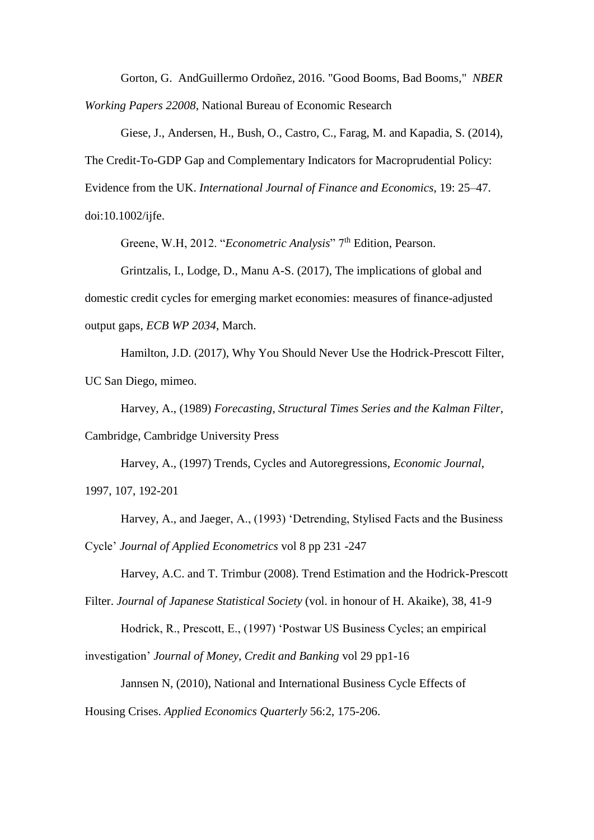Gorton, G. AndGuillermo Ordoñez, 2016. ["Good Booms, Bad Booms,](https://ideas.repec.org/p/nbr/nberwo/22008.html)" *[NBER](https://ideas.repec.org/s/nbr/nberwo.html)  [Working Papers](https://ideas.repec.org/s/nbr/nberwo.html) 22008*, National Bureau of Economic Research

Giese, J., Andersen, H., Bush, O., Castro, C., Farag, M. and Kapadia, S. (2014), The Credit-To-GDP Gap and Complementary Indicators for Macroprudential Policy: Evidence from the UK. *International Journal of Finance and Economics*, 19: 25–47. doi:10.1002/ijfe.

Greene, W.H, 2012. "*Econometric Analysis*" 7<sup>th</sup> Edition, Pearson.

Grintzalis, I., Lodge, D., Manu A-S. (2017), The implications of global and domestic credit cycles for emerging market economies: measures of finance-adjusted output gaps, *ECB WP 2034*, March.

Hamilton, J.D. (2017), Why You Should Never Use the Hodrick-Prescott Filter, UC San Diego, mimeo.

Harvey, A., (1989) *Forecasting, Structural Times Series and the Kalman Filter*, Cambridge, Cambridge University Press

Harvey, A., (1997) Trends, Cycles and Autoregressions, *Economic Journal*, 1997, 107, 192-201

Harvey, A., and Jaeger, A., (1993) 'Detrending, Stylised Facts and the Business Cycle' *Journal of Applied Econometrics* vol 8 pp 231 -247

Harvey, A.C. and T. Trimbur (2008). Trend Estimation and the Hodrick-Prescott

Filter. *Journal of Japanese Statistical Society* (vol. in honour of H. Akaike), 38, 41-9

Hodrick, R., Prescott, E., (1997) 'Postwar US Business Cycles; an empirical

investigation' *Journal of Money, Credit and Banking* vol 29 pp1-16

Jannsen N, (2010), National and International Business Cycle Effects of

Housing Crises. *Applied Economics Quarterly* 56:2, 175-206.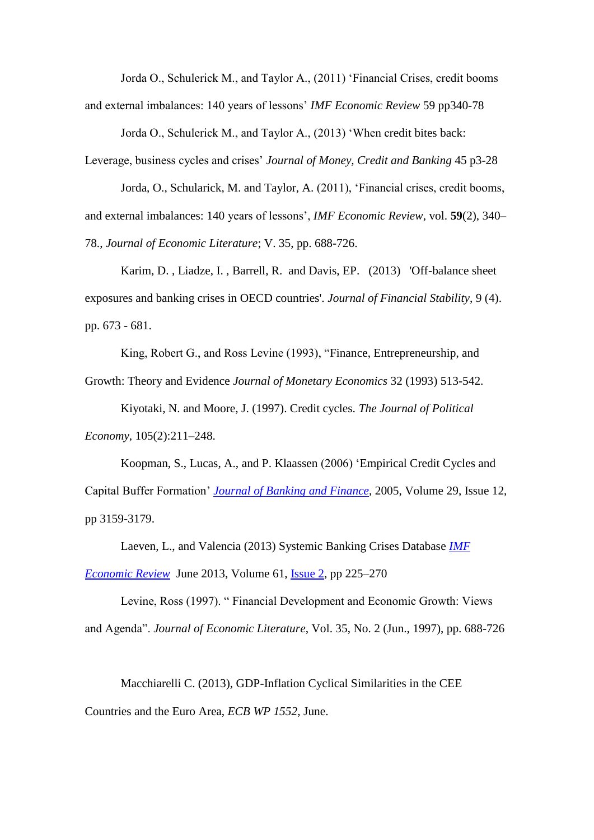Jorda O., Schulerick M., and Taylor A., (2011) 'Financial Crises, credit booms and external imbalances: 140 years of lessons' *IMF Economic Review* 59 pp340-78

Jorda O., Schulerick M., and Taylor A., (2013) 'When credit bites back:

Leverage, business cycles and crises' *Journal of Money, Credit and Banking* 45 p3-28

Jorda, O., Schularick, M. and Taylor, A. (2011), 'Financial crises, credit booms, and external imbalances: 140 years of lessons', *IMF Economic Review*, vol. **59**(2), 340– 78., *Journal of Economic Literature*; V. 35, pp. 688-726.

Karim, D. , Liadze, I. , Barrell, R. and Davis, EP. (2013) 'Off-balance sheet exposures and banking crises in OECD countries'. *Journal of Financial Stability*, 9 (4). pp. 673 - 681.

King, Robert G., and Ross Levine (1993), "Finance, Entrepreneurship, and Growth: Theory and Evidence *Journal of Monetary Economics* 32 (1993) 513-542.

Kiyotaki, N. and Moore, J. (1997). Credit cycles. *The Journal of Political Economy*, 105(2):211–248.

Koopman, S., Lucas, A., and P. Klaassen (2006) 'Empirical Credit Cycles and Capital Buffer Formation' *[Journal of Banking and Finance](http://www.sciencedirect.com/science/journal/03784266)*, 2005, Volume 29, Issue 12, pp 3159-3179.

Laeven, L., and Valencia (2013) Systemic Banking Crises Database *[IMF](https://link.springer.com/journal/41308)  [Economic Review](https://link.springer.com/journal/41308)* June 2013, Volume 61, [Issue](https://link.springer.com/journal/41308/61/2/page/1) 2, pp 225–270

Levine, Ross (1997). " Financial Development and Economic Growth: Views and Agenda". *Journal of Economic Literature*, Vol. 35, No. 2 (Jun., 1997), pp. 688-726

Macchiarelli C. (2013), GDP-Inflation Cyclical Similarities in the CEE Countries and the Euro Area, *ECB WP 1552*, June.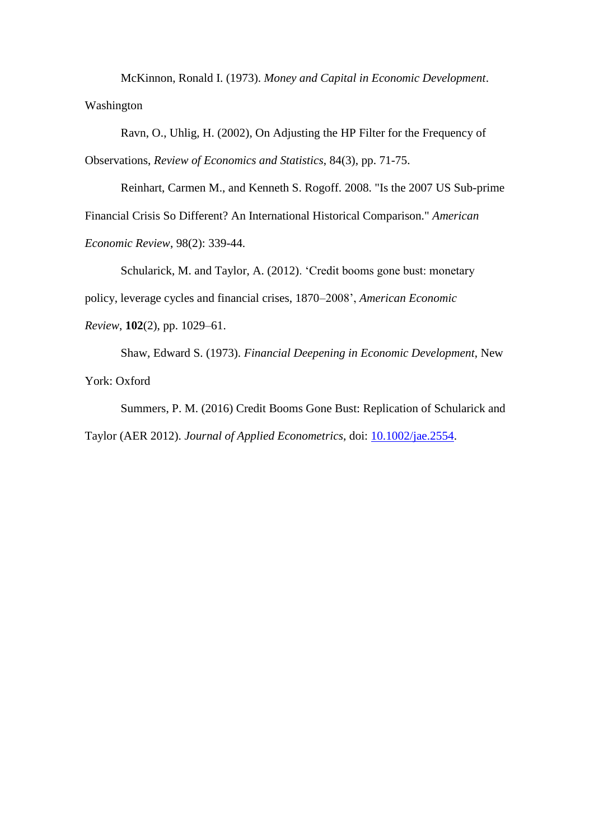McKinnon, Ronald I. (1973). *Money and Capital in Economic Development*. Washington

Ravn, O., Uhlig, H. (2002), On Adjusting the HP Filter for the Frequency of Observations, *Review of Economics and Statistics*, 84(3), pp. 71-75.

Reinhart, Carmen M., and Kenneth S. Rogoff. 2008. "Is the 2007 US Sub-prime Financial Crisis So Different? An International Historical Comparison." *American Economic Review*, 98(2): 339-44.

Schularick, M. and Taylor, A. (2012). 'Credit booms gone bust: monetary policy, leverage cycles and financial crises, 1870–2008', *American Economic Review*, **102**(2), pp. 1029–61.

Shaw, Edward S. (1973). *Financial Deepening in Economic Development*, New York: Oxford

Summers, P. M. (2016) Credit Booms Gone Bust: Replication of Schularick and Taylor (AER 2012). *Journal of Applied Econometrics*, doi: [10.1002/jae.2554.](http://dx.doi.org/10.1002/jae.2554)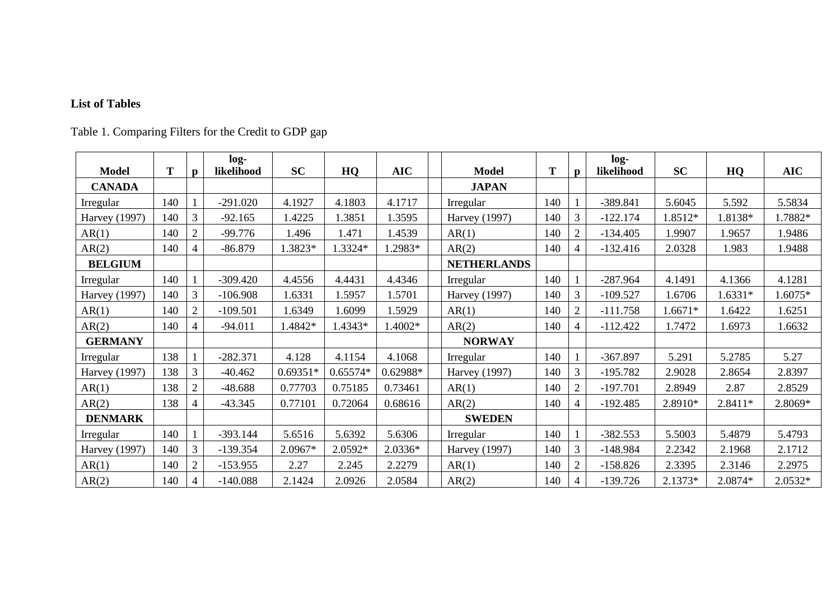### **List of Tables**

Table 1. Comparing Filters for the Credit to GDP gap

|                      |     |                | $log-$     |            |            |            |                      |     |                | $log-$     |           |           |            |
|----------------------|-----|----------------|------------|------------|------------|------------|----------------------|-----|----------------|------------|-----------|-----------|------------|
| <b>Model</b>         | T   | $\mathbf{p}$   | likelihood | <b>SC</b>  | HQ         | <b>AIC</b> | <b>Model</b>         | T   | $\mathbf{p}$   | likelihood | <b>SC</b> | HQ        | <b>AIC</b> |
| <b>CANADA</b>        |     |                |            |            |            |            | <b>JAPAN</b>         |     |                |            |           |           |            |
| Irregular            | 140 |                | $-291.020$ | 4.1927     | 4.1803     | 4.1717     | Irregular            | 140 |                | -389.841   | 5.6045    | 5.592     | 5.5834     |
| <b>Harvey</b> (1997) | 140 | 3              | $-92.165$  | 1.4225     | .3851      | 1.3595     | <b>Harvey</b> (1997) | 140 | 3              | $-122.174$ | 1.8512*   | 1.8138*   | 1.7882*    |
| AR(1)                | 140 | $\overline{2}$ | $-99.776$  | 1.496      | 1.471      | 1.4539     | AR(1)                | 140 | $\overline{2}$ | $-134.405$ | 1.9907    | 1.9657    | 1.9486     |
| AR(2)                | 140 | 4              | $-86.879$  | 1.3823*    | 1.3324*    | 1.2983*    | AR(2)                | 140 | 4              | $-132.416$ | 2.0328    | 1.983     | 1.9488     |
| <b>BELGIUM</b>       |     |                |            |            |            |            | <b>NETHERLANDS</b>   |     |                |            |           |           |            |
| Irregular            | 140 |                | $-309.420$ | 4.4556     | 4.4431     | 4.4346     | Irregular            | 140 |                | $-287.964$ | 4.1491    | 4.1366    | 4.1281     |
| <b>Harvey</b> (1997) | 140 | 3              | $-106.908$ | 1.6331     | .5957      | 1.5701     | <b>Harvey</b> (1997) | 140 | 3              | $-109.527$ | 1.6706    | $1.6331*$ | 1.6075*    |
| AR(1)                | 140 | $\overline{2}$ | $-109.501$ | 1.6349     | .6099      | 1.5929     | AR(1)                | 140 | $\overline{2}$ | $-111.758$ | 1.6671*   | 1.6422    | 1.6251     |
| AR(2)                | 140 | 4              | $-94.011$  | 1.4842*    | 1.4343*    | 1.4002*    | AR(2)                | 140 |                | $-112.422$ | 1.7472    | 1.6973    | 1.6632     |
| <b>GERMANY</b>       |     |                |            |            |            |            | <b>NORWAY</b>        |     |                |            |           |           |            |
| Irregular            | 138 |                | $-282.371$ | 4.128      | 4.1154     | 4.1068     | Irregular            | 140 |                | $-367.897$ | 5.291     | 5.2785    | 5.27       |
| <b>Harvey</b> (1997) | 138 | 3              | $-40.462$  | $0.69351*$ | $0.65574*$ | 0.62988*   | <b>Harvey</b> (1997) | 140 | 3              | $-195.782$ | 2.9028    | 2.8654    | 2.8397     |
| AR(1)                | 138 | $\overline{2}$ | $-48.688$  | 0.77703    | 0.75185    | 0.73461    | AR(1)                | 140 | $\overline{2}$ | $-197.701$ | 2.8949    | 2.87      | 2.8529     |
| AR(2)                | 138 | 4              | $-43.345$  | 0.77101    | 0.72064    | 0.68616    | AR(2)                | 140 | 4              | $-192.485$ | 2.8910*   | $2.8411*$ | 2.8069*    |
| <b>DENMARK</b>       |     |                |            |            |            |            | <b>SWEDEN</b>        |     |                |            |           |           |            |
| Irregular            | 140 |                | $-393.144$ | 5.6516     | 5.6392     | 5.6306     | Irregular            | 140 |                | $-382.553$ | 5.5003    | 5.4879    | 5.4793     |
| <b>Harvey</b> (1997) | 140 | 3              | $-139.354$ | 2.0967*    | 2.0592*    | $2.0336*$  | <b>Harvey</b> (1997) | 140 | 3              | $-148.984$ | 2.2342    | 2.1968    | 2.1712     |
| AR(1)                | 140 | $\overline{2}$ | $-153.955$ | 2.27       | 2.245      | 2.2279     | AR(1)                | 140 | $\overline{2}$ | $-158.826$ | 2.3395    | 2.3146    | 2.2975     |
| AR(2)                | 140 | $\overline{4}$ | $-140.088$ | 2.1424     | 2.0926     | 2.0584     | AR(2)                | 140 |                | $-139.726$ | $2.1373*$ | 2.0874*   | 2.0532*    |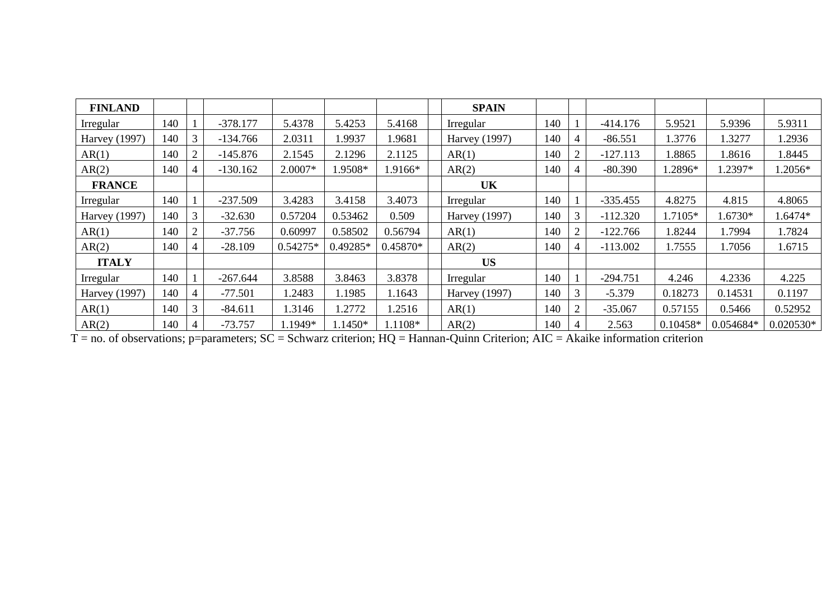| <b>FINLAND</b>       |     |   |            |            |            |            | <b>SPAIN</b>         |     |                |            |            |           |             |
|----------------------|-----|---|------------|------------|------------|------------|----------------------|-----|----------------|------------|------------|-----------|-------------|
| Irregular            | 140 |   | $-378.177$ | 5.4378     | 5.4253     | 5.4168     | Irregular            | 140 |                | $-414.176$ | 5.9521     | 5.9396    | 5.9311      |
| <b>Harvey</b> (1997) | 140 | 3 | $-134.766$ | 2.0311     | .9937      | 1.9681     | <b>Harvey</b> (1997) | 140 | $\overline{4}$ | $-86.551$  | 1.3776     | 1.3277    | 1.2936      |
| AR(1)                | 140 | 2 | $-145.876$ | 2.1545     | 2.1296     | 2.1125     | AR(1)                | 140 | $\overline{2}$ | $-127.113$ | 1.8865     | 1.8616    | 1.8445      |
| AR(2)                | 140 | 4 | -130.162   | 2.0007*    | $1.9508*$  | 1.9166*    | AR(2)                | 140 | 4              | $-80.390$  | 1.2896*    | 1.2397*   | 1.2056*     |
| <b>FRANCE</b>        |     |   |            |            |            |            | <b>UK</b>            |     |                |            |            |           |             |
| Irregular            | 140 |   | $-237.509$ | 3.4283     | 3.4158     | 3.4073     | Irregular            | 140 |                | $-335.455$ | 4.8275     | 4.815     | 4.8065      |
| Harvey (1997)        | 140 | 3 | $-32.630$  | 0.57204    | 0.53462    | 0.509      | <b>Harvey</b> (1997) | 140 | 3              | $-112.320$ | 1.7105*    | 1.6730*   | 1.6474*     |
| AR(1)                | 140 | 2 | $-37.756$  | 0.60997    | 0.58502    | 0.56794    | AR(1)                | 140 | $\overline{2}$ | $-122.766$ | 1.8244     | 1.7994    | 1.7824      |
| AR(2)                | 140 | 4 | $-28.109$  | $0.54275*$ | $0.49285*$ | $0.45870*$ | AR(2)                | 140 | $\overline{4}$ | $-113.002$ | 1.7555     | 1.7056    | 1.6715      |
| <b>ITALY</b>         |     |   |            |            |            |            | <b>US</b>            |     |                |            |            |           |             |
| Irregular            | 140 |   | $-267.644$ | 3.8588     | 3.8463     | 3.8378     | Irregular            | 140 |                | $-294.751$ | 4.246      | 4.2336    | 4.225       |
| Harvey (1997)        | 140 | 4 | $-77.501$  | 1.2483     | 1.1985     | 1.1643     | Harvey (1997)        | 140 | 3              | $-5.379$   | 0.18273    | 0.14531   | 0.1197      |
| AR(1)                | 140 | 3 | $-84.611$  | 1.3146     | .2772      | 1.2516     | AR(1)                | 140 | $\overline{2}$ | $-35.067$  | 0.57155    | 0.5466    | 0.52952     |
| AR(2)                | 140 | 4 | $-73.757$  | 1.1949*    | 1.1450*    | 1.1108*    | AR(2)                | 140 | $\overline{4}$ | 2.563      | $0.10458*$ | 0.054684* | $0.020530*$ |

T = no. of observations; p=parameters; SC = Schwarz criterion; HQ = Hannan-Quinn Criterion; AIC = Akaike information criterion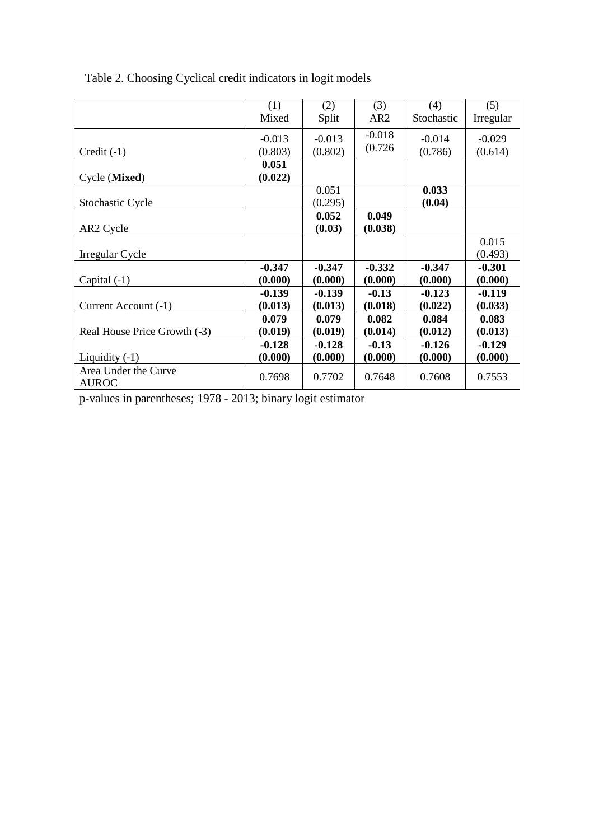|                                      | (1)      | (2)      | (3)             | (4)        | (5)       |
|--------------------------------------|----------|----------|-----------------|------------|-----------|
|                                      | Mixed    | Split    | AR <sub>2</sub> | Stochastic | Irregular |
|                                      | $-0.013$ | $-0.013$ | $-0.018$        | $-0.014$   | $-0.029$  |
| $Credit(-1)$                         | (0.803)  | (0.802)  | (0.726)         | (0.786)    | (0.614)   |
|                                      | 0.051    |          |                 |            |           |
| Cycle (Mixed)                        | (0.022)  |          |                 |            |           |
|                                      |          | 0.051    |                 | 0.033      |           |
| <b>Stochastic Cycle</b>              |          | (0.295)  |                 | (0.04)     |           |
|                                      |          | 0.052    | 0.049           |            |           |
| AR <sub>2</sub> Cycle                |          | (0.03)   | (0.038)         |            |           |
|                                      |          |          |                 |            | 0.015     |
| Irregular Cycle                      |          |          |                 |            | (0.493)   |
|                                      | $-0.347$ | $-0.347$ | $-0.332$        | $-0.347$   | $-0.301$  |
| Capital $(-1)$                       | (0.000)  | (0.000)  | (0.000)         | (0.000)    | (0.000)   |
|                                      | $-0.139$ | $-0.139$ | $-0.13$         | $-0.123$   | $-0.119$  |
| Current Account (-1)                 | (0.013)  | (0.013)  | (0.018)         | (0.022)    | (0.033)   |
|                                      | 0.079    | 0.079    | 0.082           | 0.084      | 0.083     |
| Real House Price Growth (-3)         | (0.019)  | (0.019)  | (0.014)         | (0.012)    | (0.013)   |
|                                      | $-0.128$ | $-0.128$ | $-0.13$         | $-0.126$   | $-0.129$  |
| Liquidity $(-1)$                     | (0.000)  | (0.000)  | (0.000)         | (0.000)    | (0.000)   |
| Area Under the Curve<br><b>AUROC</b> | 0.7698   | 0.7702   | 0.7648          | 0.7608     | 0.7553    |

Table 2. Choosing Cyclical credit indicators in logit models

p-values in parentheses; 1978 - 2013; binary logit estimator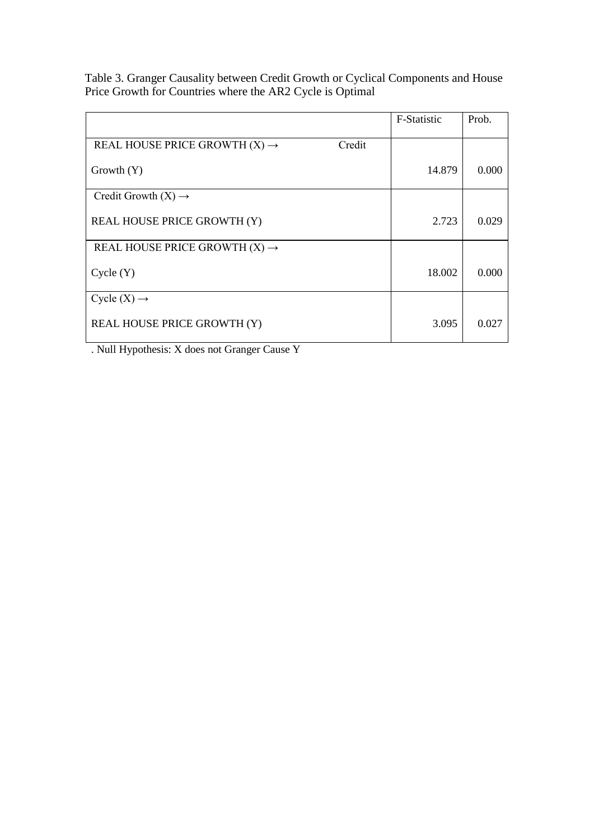Table 3. Granger Causality between Credit Growth or Cyclical Components and House Price Growth for Countries where the AR2 Cycle is Optimal

|                                                     | F-Statistic | Prob. |
|-----------------------------------------------------|-------------|-------|
|                                                     |             |       |
| Credit<br>REAL HOUSE PRICE GROWTH $(X) \rightarrow$ |             |       |
|                                                     |             |       |
| Growth $(Y)$                                        | 14.879      | 0.000 |
|                                                     |             |       |
| Credit Growth $(X) \rightarrow$                     |             |       |
|                                                     |             |       |
| <b>REAL HOUSE PRICE GROWTH (Y)</b>                  | 2.723       | 0.029 |
|                                                     |             |       |
| REAL HOUSE PRICE GROWTH $(X) \rightarrow$           |             |       |
|                                                     |             |       |
| Cycle(Y)                                            | 18.002      | 0.000 |
|                                                     |             |       |
| Cycle $(X) \rightarrow$                             |             |       |
|                                                     |             |       |
| <b>REAL HOUSE PRICE GROWTH (Y)</b>                  | 3.095       | 0.027 |
|                                                     |             |       |

. Null Hypothesis: X does not Granger Cause Y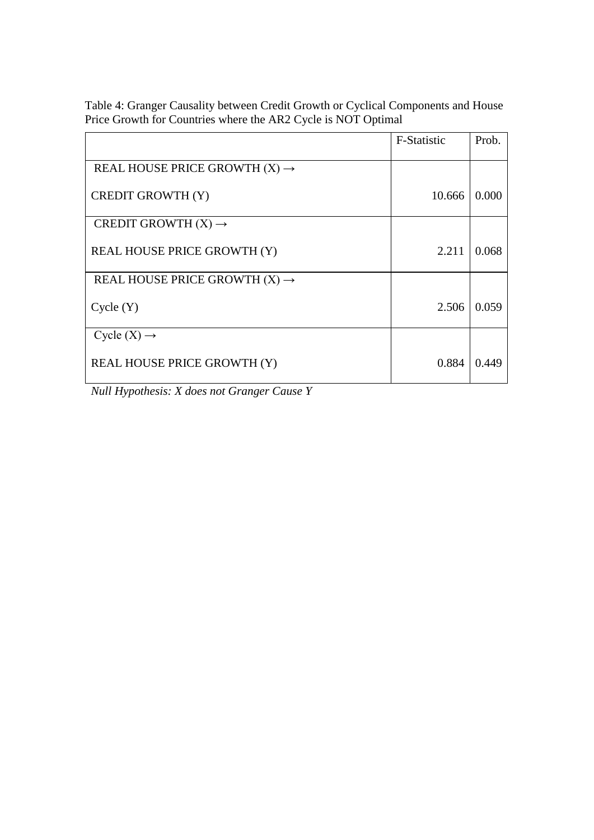Table 4: Granger Causality between Credit Growth or Cyclical Components and House Price Growth for Countries where the AR2 Cycle is NOT Optimal

|                                           | F-Statistic | Prob. |
|-------------------------------------------|-------------|-------|
| REAL HOUSE PRICE GROWTH $(X) \rightarrow$ |             |       |
| <b>CREDIT GROWTH (Y)</b>                  | 10.666      | 0.000 |
| CREDIT GROWTH $(X) \rightarrow$           |             |       |
| <b>REAL HOUSE PRICE GROWTH (Y)</b>        | 2.211       | 0.068 |
| REAL HOUSE PRICE GROWTH $(X) \rightarrow$ |             |       |
| Cycle(Y)                                  | 2.506       | 0.059 |
| Cycle $(X) \rightarrow$                   |             |       |
| <b>REAL HOUSE PRICE GROWTH (Y)</b>        | 0.884       | 0.449 |

*Null Hypothesis: X does not Granger Cause Y*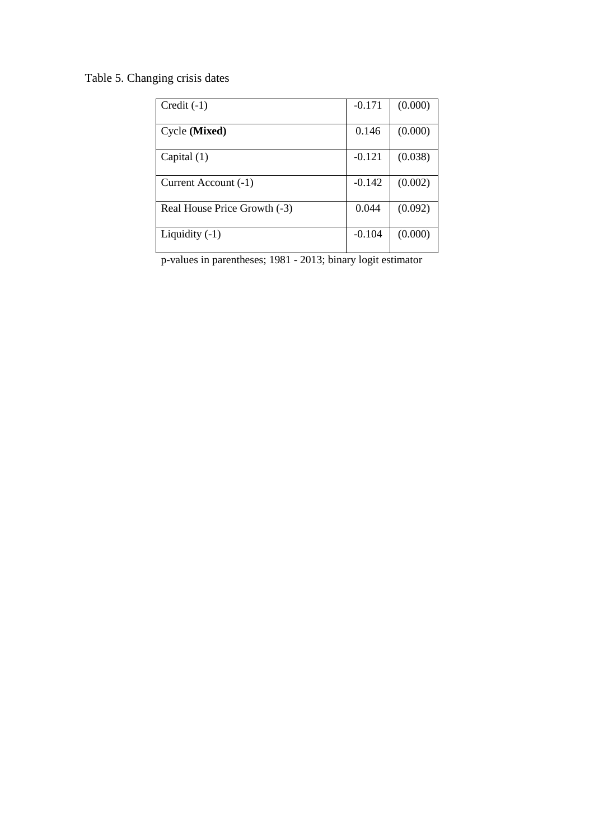Table 5. Changing crisis dates

| $Credit(-1)$                 | $-0.171$ | (0.000) |
|------------------------------|----------|---------|
|                              |          |         |
| Cycle (Mixed)                | 0.146    | (0.000) |
|                              |          |         |
| Capital $(1)$                | $-0.121$ | (0.038) |
|                              |          |         |
| Current Account (-1)         | $-0.142$ | (0.002) |
| Real House Price Growth (-3) | 0.044    | (0.092) |
| Liquidity $(-1)$             | $-0.104$ | (0.000) |

p-values in parentheses; 1981 - 2013; binary logit estimator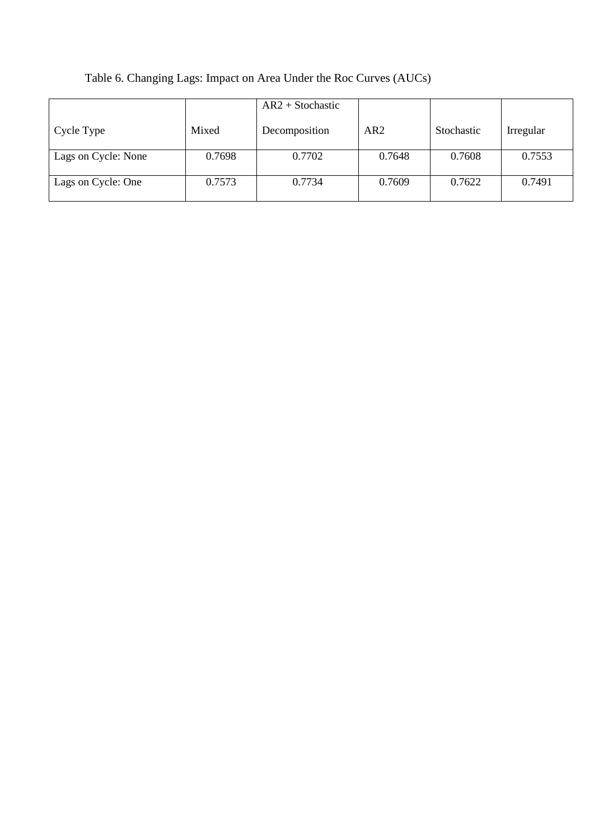|                     |        | $AR2 + Stochastic$ |        |            |           |
|---------------------|--------|--------------------|--------|------------|-----------|
| Cycle Type          | Mixed  | Decomposition      | AR2    | Stochastic | Irregular |
| Lags on Cycle: None | 0.7698 | 0.7702             | 0.7648 | 0.7608     | 0.7553    |
| Lags on Cycle: One  | 0.7573 | 0.7734             | 0.7609 | 0.7622     | 0.7491    |

## Table 6. Changing Lags: Impact on Area Under the Roc Curves (AUCs)